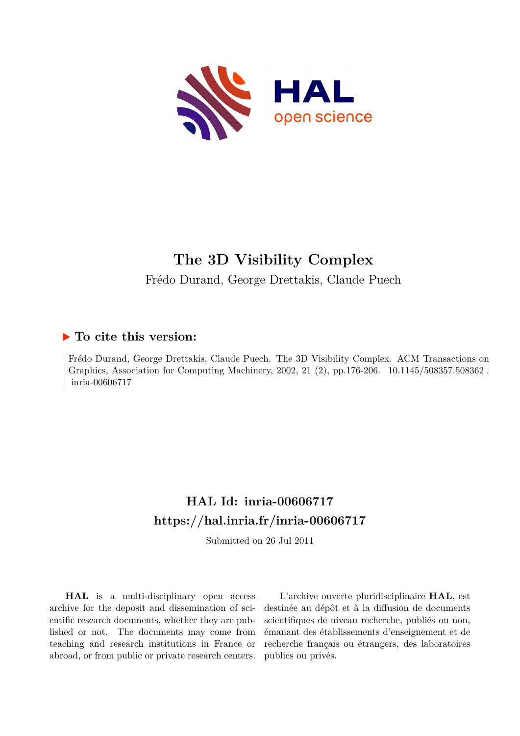

## **The 3D Visibility Complex**

Frédo Durand, George Drettakis, Claude Puech

## **To cite this version:**

Frédo Durand, George Drettakis, Claude Puech. The 3D Visibility Complex. ACM Transactions on Graphics, Association for Computing Machinery, 2002, 21 (2), pp.176-206. 10.1145/508357.508362. inria-00606717

## **HAL Id: inria-00606717 <https://hal.inria.fr/inria-00606717>**

Submitted on 26 Jul 2011

**HAL** is a multi-disciplinary open access archive for the deposit and dissemination of scientific research documents, whether they are published or not. The documents may come from teaching and research institutions in France or abroad, or from public or private research centers.

L'archive ouverte pluridisciplinaire **HAL**, est destinée au dépôt et à la diffusion de documents scientifiques de niveau recherche, publiés ou non, émanant des établissements d'enseignement et de recherche français ou étrangers, des laboratoires publics ou privés.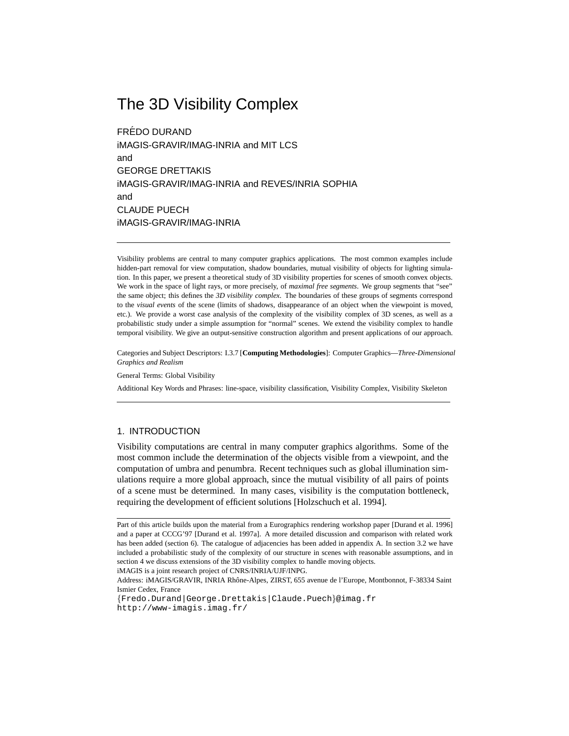## The 3D Visibility Complex

FREDO DURAND ´ iMAGIS-GRAVIR/IMAG-INRIA and MIT LCS and GEORGE DRETTAKIS iMAGIS-GRAVIR/IMAG-INRIA and REVES/INRIA SOPHIA and CLAUDE PUECH iMAGIS-GRAVIR/IMAG-INRIA

Visibility problems are central to many computer graphics applications. The most common examples include hidden-part removal for view computation, shadow boundaries, mutual visibility of objects for lighting simulation. In this paper, we present a theoretical study of 3D visibility properties for scenes of smooth convex objects. We work in the space of light rays, or more precisely, of *maximal free segments*. We group segments that "see" the same object; this defines the *3D visibility complex*. The boundaries of these groups of segments correspond to the *visual events* of the scene (limits of shadows, disappearance of an object when the viewpoint is moved, etc.). We provide a worst case analysis of the complexity of the visibility complex of 3D scenes, as well as a probabilistic study under a simple assumption for "normal" scenes. We extend the visibility complex to handle temporal visibility. We give an output-sensitive construction algorithm and present applications of our approach.

Categories and Subject Descriptors: I.3.7 [**Computing Methodologies**]: Computer Graphics—*Three-Dimensional Graphics and Realism*

General Terms: Global Visibility

Additional Key Words and Phrases: line-space, visibility classification, Visibility Complex, Visibility Skeleton

#### 1. INTRODUCTION

Visibility computations are central in many computer graphics algorithms. Some of the most common include the determination of the objects visible from a viewpoint, and the computation of umbra and penumbra. Recent techniques such as global illumination simulations require a more global approach, since the mutual visibility of all pairs of points of a scene must be determined. In many cases, visibility is the computation bottleneck, requiring the development of efficient solutions [Holzschuch et al. 1994].

iMAGIS is a joint research project of CNRS/INRIA/UJF/INPG.

Address: iMAGIS/GRAVIR, INRIA Rhône-Alpes, ZIRST, 655 avenue de l'Europe, Montbonnot, F-38334 Saint Ismier Cedex, France

*{*Fredo.Durand|George.Drettakis|Claude.Puech*}*@imag.fr http://www-imagis.imag.fr/

Part of this article builds upon the material from a Eurographics rendering workshop paper [Durand et al. 1996] and a paper at CCCG'97 [Durand et al. 1997a]. A more detailed discussion and comparison with related work has been added (section 6). The catalogue of adjacencies has been added in appendix A. In section 3.2 we have included a probabilistic study of the complexity of our structure in scenes with reasonable assumptions, and in section 4 we discuss extensions of the 3D visibility complex to handle moving objects.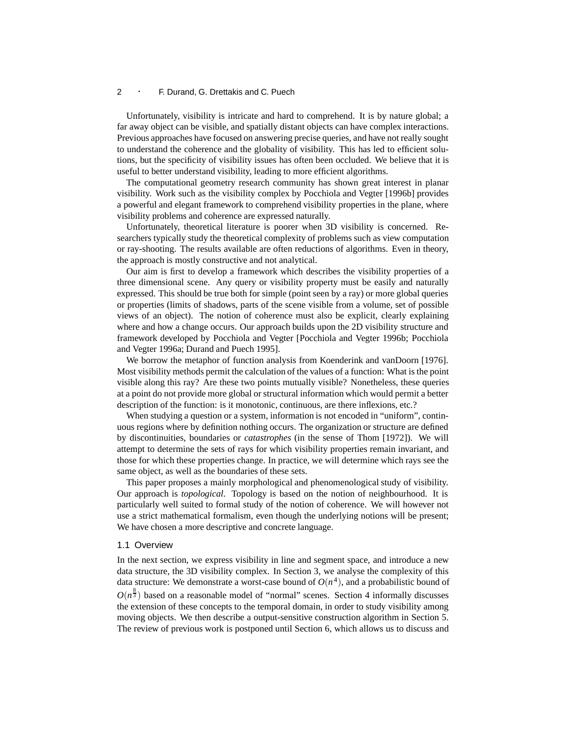Unfortunately, visibility is intricate and hard to comprehend. It is by nature global; a far away object can be visible, and spatially distant objects can have complex interactions. Previous approaches have focused on answering precise queries, and have not really sought to understand the coherence and the globality of visibility. This has led to efficient solutions, but the specificity of visibility issues has often been occluded. We believe that it is useful to better understand visibility, leading to more efficient algorithms.

The computational geometry research community has shown great interest in planar visibility. Work such as the visibility complex by Pocchiola and Vegter [1996b] provides a powerful and elegant framework to comprehend visibility properties in the plane, where visibility problems and coherence are expressed naturally.

Unfortunately, theoretical literature is poorer when 3D visibility is concerned. Researchers typically study the theoretical complexity of problems such as view computation or ray-shooting. The results available are often reductions of algorithms. Even in theory, the approach is mostly constructive and not analytical.

Our aim is first to develop a framework which describes the visibility properties of a three dimensional scene. Any query or visibility property must be easily and naturally expressed. This should be true both for simple (point seen by a ray) or more global queries or properties (limits of shadows, parts of the scene visible from a volume, set of possible views of an object). The notion of coherence must also be explicit, clearly explaining where and how a change occurs. Our approach builds upon the 2D visibility structure and framework developed by Pocchiola and Vegter [Pocchiola and Vegter 1996b; Pocchiola and Vegter 1996a; Durand and Puech 1995].

We borrow the metaphor of function analysis from Koenderink and vanDoorn [1976]. Most visibility methods permit the calculation of the values of a function: What is the point visible along this ray? Are these two points mutually visible? Nonetheless, these queries at a point do not provide more global or structural information which would permit a better description of the function: is it monotonic, continuous, are there inflexions, etc.?

When studying a question or a system, information is not encoded in "uniform", continuous regions where by definition nothing occurs. The organization or structure are defined by discontinuities, boundaries or *catastrophes* (in the sense of Thom [1972]). We will attempt to determine the sets of rays for which visibility properties remain invariant, and those for which these properties change. In practice, we will determine which rays see the same object, as well as the boundaries of these sets.

This paper proposes a mainly morphological and phenomenological study of visibility. Our approach is *topological*. Topology is based on the notion of neighbourhood. It is particularly well suited to formal study of the notion of coherence. We will however not use a strict mathematical formalism, even though the underlying notions will be present; We have chosen a more descriptive and concrete language.

#### 1.1 Overview

In the next section, we express visibility in line and segment space, and introduce a new data structure, the 3D visibility complex. In Section 3, we analyse the complexity of this data structure: We demonstrate a worst-case bound of  $O(n^4)$ , and a probabilistic bound of  $O(n^{\frac{8}{3}})$  based on a reasonable model of "normal" scenes. Section 4 informally discusses the extension of these concepts to the temporal domain, in order to study visibility among moving objects. We then describe a output-sensitive construction algorithm in Section 5. The review of previous work is postponed until Section 6, which allows us to discuss and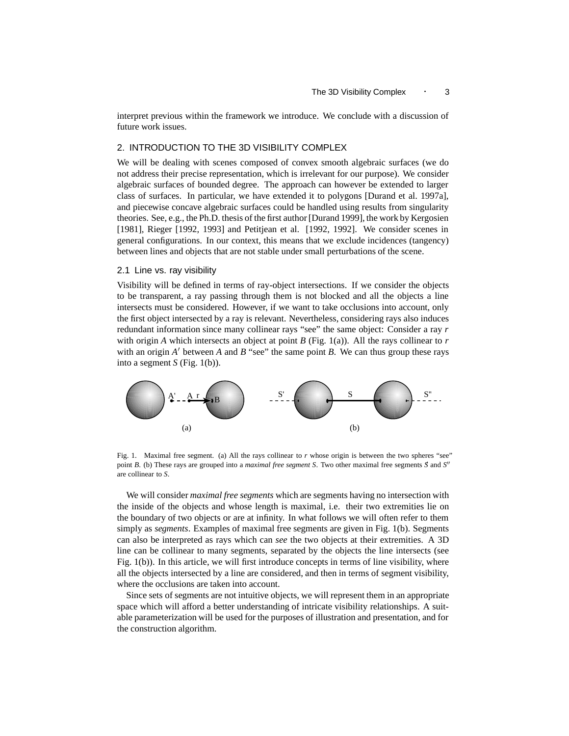interpret previous within the framework we introduce. We conclude with a discussion of future work issues.

#### 2. INTRODUCTION TO THE 3D VISIBILITY COMPLEX

We will be dealing with scenes composed of convex smooth algebraic surfaces (we do not address their precise representation, which is irrelevant for our purpose). We consider algebraic surfaces of bounded degree. The approach can however be extended to larger class of surfaces. In particular, we have extended it to polygons [Durand et al. 1997a], and piecewise concave algebraic surfaces could be handled using results from singularity theories. See, e.g., the Ph.D. thesis of the first author [Durand 1999], the work by Kergosien [1981], Rieger [1992, 1993] and Petitjean et al. [1992, 1992]. We consider scenes in general configurations. In our context, this means that we exclude incidences (tangency) between lines and objects that are not stable under small perturbations of the scene.

#### 2.1 Line vs. ray visibility

Visibility will be defined in terms of ray-object intersections. If we consider the objects to be transparent, a ray passing through them is not blocked and all the objects a line intersects must be considered. However, if we want to take occlusions into account, only the first object intersected by a ray is relevant. Nevertheless, considering rays also induces redundant information since many collinear rays "see" the same object: Consider a ray *r* with origin *A* which intersects an object at point *B* (Fig. 1(a)). All the rays collinear to *r* with an origin  $A'$  between  $A$  and  $B$  "see" the same point  $B$ . We can thus group these rays into a segment *S* (Fig. 1(b)).



Fig. 1. Maximal free segment. (a) All the rays collinear to *r* whose origin is between the two spheres "see" point *B*. (b) These rays are grouped into a *maximal free segment S*. Two other maximal free segments *S* and *S*<sup>*n*</sup> are collinear to *S*.

We will consider *maximal free segments* which are segments having no intersection with the inside of the objects and whose length is maximal, i.e. their two extremities lie on the boundary of two objects or are at infinity. In what follows we will often refer to them simply as *segments*. Examples of maximal free segments are given in Fig. 1(b). Segments can also be interpreted as rays which can *see* the two objects at their extremities. A 3D line can be collinear to many segments, separated by the objects the line intersects (see Fig. 1(b)). In this article, we will first introduce concepts in terms of line visibility, where all the objects intersected by a line are considered, and then in terms of segment visibility, where the occlusions are taken into account.

Since sets of segments are not intuitive objects, we will represent them in an appropriate space which will afford a better understanding of intricate visibility relationships. A suitable parameterization will be used for the purposes of illustration and presentation, and for the construction algorithm.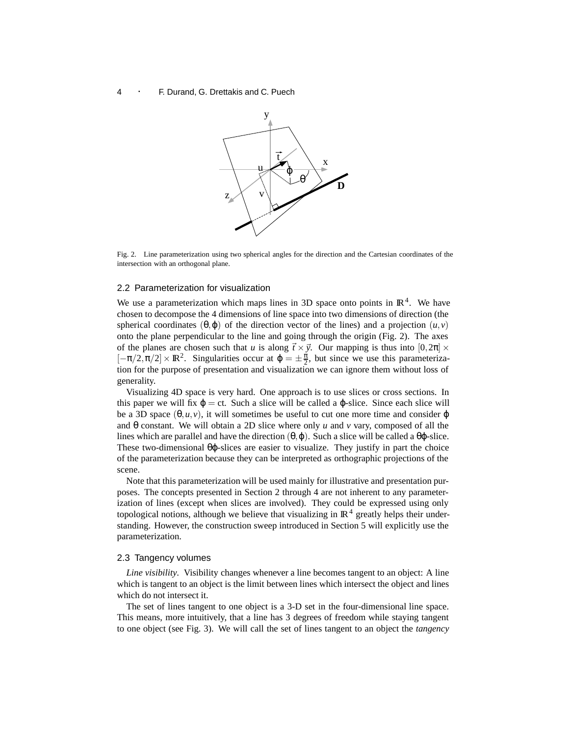

Fig. 2. Line parameterization using two spherical angles for the direction and the Cartesian coordinates of the intersection with an orthogonal plane.

#### 2.2 Parameterization for visualization

We use a parameterization which maps lines in 3D space onto points in  $\mathbb{R}^4$ . We have chosen to decompose the 4 dimensions of line space into two dimensions of direction (the spherical coordinates (θ,φ) of the direction vector of the lines) and a projection  $(u, v)$ onto the plane perpendicular to the line and going through the origin (Fig. 2). The axes of the planes are chosen such that *u* is along  $\vec{t} \times \vec{y}$ . Our mapping is thus into  $[0, 2\pi] \times$  $[-\pi/2, \pi/2] \times \mathbb{R}^2$ . Singularities occur at  $\varphi = \pm \frac{\pi}{2}$ , but since we use this parameterization for the purpose of presentation and visualization we can ignore them without loss of generality.

Visualizing 4D space is very hard. One approach is to use slices or cross sections. In this paper we will fix  $\varphi = ct$ . Such a slice will be called a  $\varphi$ -slice. Since each slice will be a 3D space  $(\theta, u, v)$ , it will sometimes be useful to cut one more time and consider  $\varphi$ and θ constant. We will obtain a 2D slice where only *u* and *v* vary, composed of all the lines which are parallel and have the direction  $(\theta, \varphi)$ . Such a slice will be called a  $\theta\varphi$ -slice. These two-dimensional  $\theta\varphi$ -slices are easier to visualize. They justify in part the choice of the parameterization because they can be interpreted as orthographic projections of the scene.

Note that this parameterization will be used mainly for illustrative and presentation purposes. The concepts presented in Section 2 through 4 are not inherent to any parameterization of lines (except when slices are involved). They could be expressed using only topological notions, although we believe that visualizing in  $\mathbb{R}^4$  greatly helps their understanding. However, the construction sweep introduced in Section 5 will explicitly use the parameterization.

#### 2.3 Tangency volumes

*Line visibility.* Visibility changes whenever a line becomes tangent to an object: A line which is tangent to an object is the limit between lines which intersect the object and lines which do not intersect it.

The set of lines tangent to one object is a 3-D set in the four-dimensional line space. This means, more intuitively, that a line has 3 degrees of freedom while staying tangent to one object (see Fig. 3). We will call the set of lines tangent to an object the *tangency*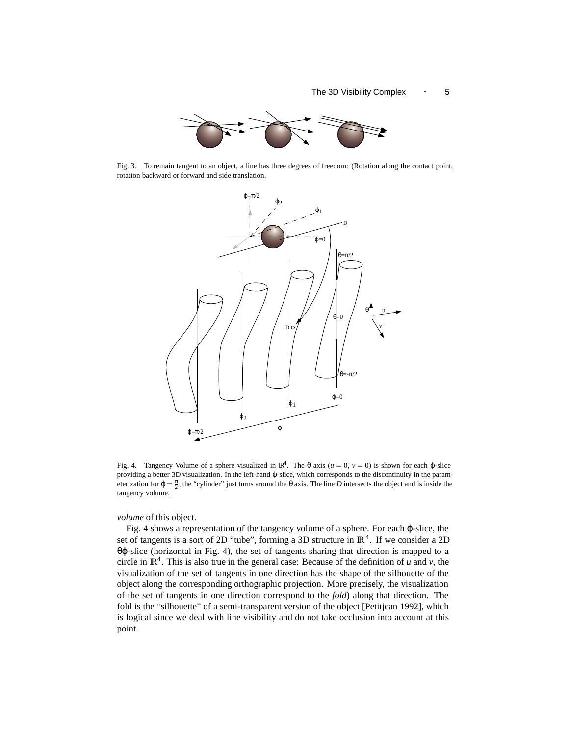

Fig. 3. To remain tangent to an object, a line has three degrees of freedom: (Rotation along the contact point, rotation backward or forward and side translation.



Fig. 4. Tangency Volume of a sphere visualized in  $\mathbb{R}^4$ . The  $\theta$  axis ( $u = 0$ ,  $v = 0$ ) is shown for each  $\phi$ -slice providing a better 3D visualization. In the left-hand ϕ-slice, which corresponds to the discontinuity in the parameterization for  $\varphi = \frac{\pi}{2}$ , the "cylinder" just turns around the  $\theta$  axis. The line *D* intersects the object and is inside the tangency volume.

*volume* of this object.

Fig. 4 shows a representation of the tangency volume of a sphere. For each ϕ-slice, the set of tangents is a sort of 2D "tube", forming a 3D structure in  $\mathbb{R}^4$ . If we consider a 2D θϕ-slice (horizontal in Fig. 4), the set of tangents sharing that direction is mapped to a circle in  $\mathbb{R}^4$ . This is also true in the general case: Because of the definition of *u* and *v*, the visualization of the set of tangents in one direction has the shape of the silhouette of the object along the corresponding orthographic projection. More precisely, the visualization of the set of tangents in one direction correspond to the *fold*) along that direction. The fold is the "silhouette" of a semi-transparent version of the object [Petitjean 1992], which is logical since we deal with line visibility and do not take occlusion into account at this point.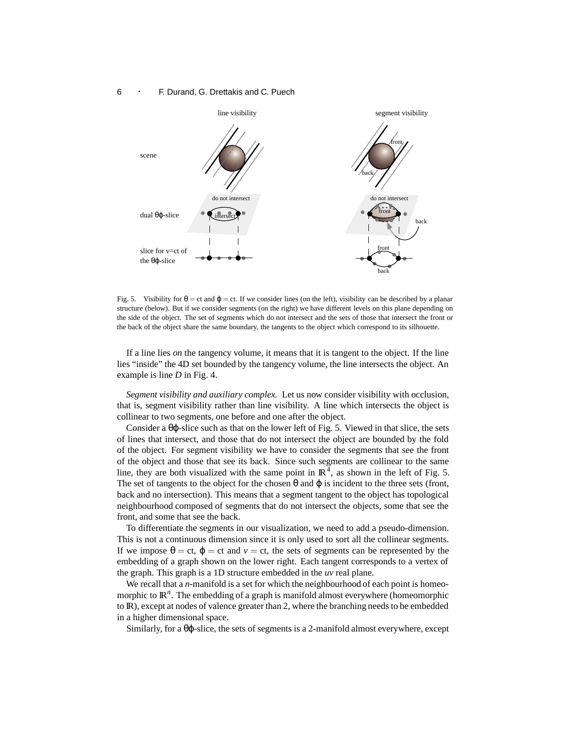

Fig. 5. Visibility for  $\theta = ct$  and  $\varphi = ct$ . If we consider lines (on the left), visibility can be described by a planar structure (below). But if we consider segments (on the right) we have different levels on this plane depending on the side of the object. The set of segments which do not intersect and the sets of those that intersect the front or the back of the object share the same boundary, the tangents to the object which correspond to its silhouette.

If a line lies *on* the tangency volume, it means that it is tangent to the object. If the line lies "inside" the 4D set bounded by the tangency volume, the line intersects the object. An example is line *D* in Fig. 4.

*Segment visibility and auxiliary complex.* Let us now consider visibility with occlusion, that is, segment visibility rather than line visibility. A line which intersects the object is collinear to two segments, one before and one after the object.

Consider a θϕ-slice such as that on the lower left of Fig. 5. Viewed in that slice, the sets of lines that intersect, and those that do not intersect the object are bounded by the fold of the object. For segment visibility we have to consider the segments that see the front of the object and those that see its back. Since such segments are collinear to the same line, they are both visualized with the same point in  $\mathbb{R}^4$ , as shown in the left of Fig. 5. The set of tangents to the object for the chosen  $\theta$  and  $\varphi$  is incident to the three sets (front, back and no intersection). This means that a segment tangent to the object has topological neighbourhood composed of segments that do not intersect the objects, some that see the front, and some that see the back.

To differentiate the segments in our visualization, we need to add a pseudo-dimension. This is not a continuous dimension since it is only used to sort all the collinear segments. If we impose  $θ = ct$ ,  $φ = ct$  and  $ν = ct$ , the sets of segments can be represented by the embedding of a graph shown on the lower right. Each tangent corresponds to a vertex of the graph. This graph is a 1D structure embedded in the *uv* real plane.

We recall that a *n*-manifold is a set for which the neighbourhood of each point is homeomorphic to  $\mathbb{R}^n$ . The embedding of a graph is manifold almost everywhere (homeomorphic to IR), except at nodes of valence greater than 2, where the branching needs to be embedded in a higher dimensional space.

Similarly, for a  $\theta\varphi$ -slice, the sets of segments is a 2-manifold almost everywhere, except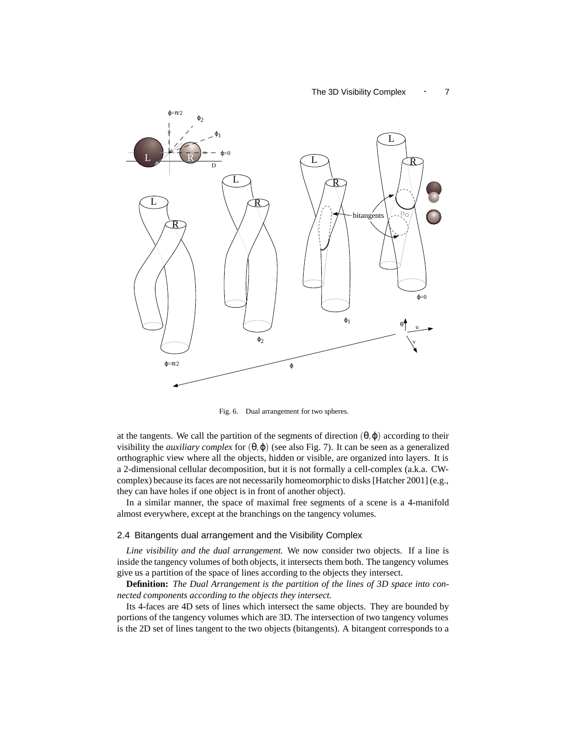#### The 3D Visibility Complex  $\cdot$  7



Fig. 6. Dual arrangement for two spheres.

at the tangents. We call the partition of the segments of direction  $(\theta, \varphi)$  according to their visibility the *auxiliary complex* for  $(θ, φ)$  (see also Fig. 7). It can be seen as a generalized orthographic view where all the objects, hidden or visible, are organized into layers. It is a 2-dimensional cellular decomposition, but it is not formally a cell-complex (a.k.a. CWcomplex) because its faces are not necessarily homeomorphic to disks [Hatcher 2001] (e.g., they can have holes if one object is in front of another object).

In a similar manner, the space of maximal free segments of a scene is a 4-manifold almost everywhere, except at the branchings on the tangency volumes.

#### 2.4 Bitangents dual arrangement and the Visibility Complex

*Line visibility and the dual arrangement.* We now consider two objects. If a line is inside the tangency volumes of both objects, it intersects them both. The tangency volumes give us a partition of the space of lines according to the objects they intersect.

**Definition:** *The Dual Arrangement is the partition of the lines of 3D space into connected components according to the objects they intersect.*

Its 4-faces are 4D sets of lines which intersect the same objects. They are bounded by portions of the tangency volumes which are 3D. The intersection of two tangency volumes is the 2D set of lines tangent to the two objects (bitangents). A bitangent corresponds to a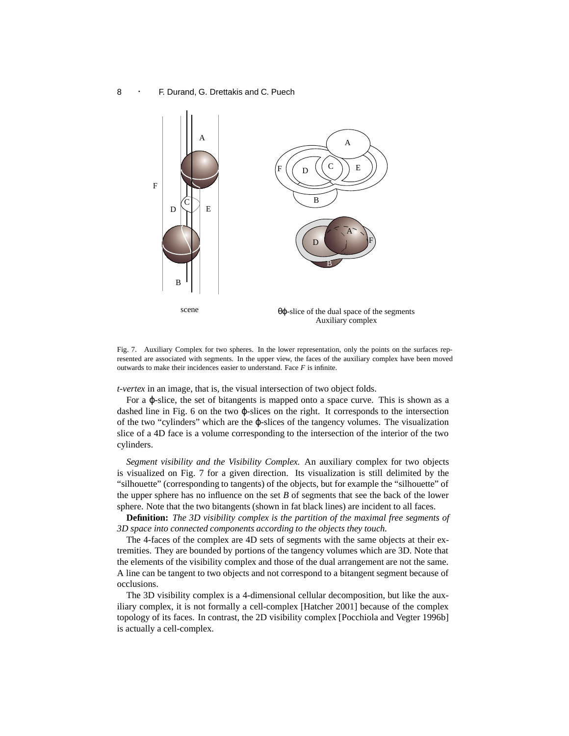

Fig. 7. Auxiliary Complex for two spheres. In the lower representation, only the points on the surfaces represented are associated with segments. In the upper view, the faces of the auxiliary complex have been moved outwards to make their incidences easier to understand. Face *F* is infinite.

*t-vertex* in an image, that is, the visual intersection of two object folds.

For a ϕ-slice, the set of bitangents is mapped onto a space curve. This is shown as a dashed line in Fig. 6 on the two ϕ-slices on the right. It corresponds to the intersection of the two "cylinders" which are the ϕ-slices of the tangency volumes. The visualization slice of a 4D face is a volume corresponding to the intersection of the interior of the two cylinders.

*Segment visibility and the Visibility Complex.* An auxiliary complex for two objects is visualized on Fig. 7 for a given direction. Its visualization is still delimited by the "silhouette" (corresponding to tangents) of the objects, but for example the "silhouette" of the upper sphere has no influence on the set *B* of segments that see the back of the lower sphere. Note that the two bitangents (shown in fat black lines) are incident to all faces.

**Definition:** *The 3D visibility complex is the partition of the maximal free segments of 3D space into connected components according to the objects they touch.*

The 4-faces of the complex are 4D sets of segments with the same objects at their extremities. They are bounded by portions of the tangency volumes which are 3D. Note that the elements of the visibility complex and those of the dual arrangement are not the same. A line can be tangent to two objects and not correspond to a bitangent segment because of occlusions.

The 3D visibility complex is a 4-dimensional cellular decomposition, but like the auxiliary complex, it is not formally a cell-complex [Hatcher 2001] because of the complex topology of its faces. In contrast, the 2D visibility complex [Pocchiola and Vegter 1996b] is actually a cell-complex.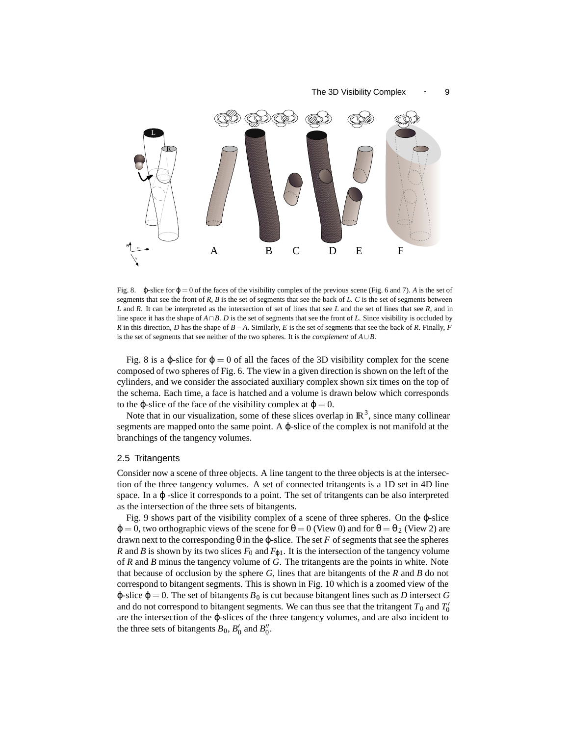#### The 3D Visibility Complex  $\cdot$  9



Fig. 8. ϕ-slice for ϕ = 0 of the faces of the visibility complex of the previous scene (Fig. 6 and 7). *A* is the set of segments that see the front of *R*, *B* is the set of segments that see the back of *L*. *C* is the set of segments between *L* and *R*. It can be interpreted as the intersection of set of lines that see *L* and the set of lines that see *R*, and in line space it has the shape of *A*∩*B*. *D* is the set of segments that see the front of *L*. Since visibility is occluded by *R* in this direction, *D* has the shape of *B*−*A*. Similarly, *E* is the set of segments that see the back of *R*. Finally, *F* is the set of segments that see neither of the two spheres. It is the *complement* of *A*∪*B*.

Fig. 8 is a  $\varphi$ -slice for  $\varphi = 0$  of all the faces of the 3D visibility complex for the scene composed of two spheres of Fig. 6. The view in a given direction is shown on the left of the cylinders, and we consider the associated auxiliary complex shown six times on the top of the schema. Each time, a face is hatched and a volume is drawn below which corresponds to the  $\varphi$ -slice of the face of the visibility complex at  $\varphi = 0$ .

Note that in our visualization, some of these slices overlap in  $\mathbb{R}^3$ , since many collinear segments are mapped onto the same point. A  $\varphi$ -slice of the complex is not manifold at the branchings of the tangency volumes.

#### 2.5 Tritangents

Consider now a scene of three objects. A line tangent to the three objects is at the intersection of the three tangency volumes. A set of connected tritangents is a 1D set in 4D line space. In a φ-slice it corresponds to a point. The set of tritangents can be also interpreted as the intersection of the three sets of bitangents.

Fig. 9 shows part of the visibility complex of a scene of three spheres. On the ϕ-slice  $\varphi = 0$ , two orthographic views of the scene for  $\theta = 0$  (View 0) and for  $\theta = \theta_2$  (View 2) are drawn next to the corresponding  $θ$  in the  $φ$ -slice. The set *F* of segments that see the spheres *R* and *B* is shown by its two slices  $F_0$  and  $F_{\varphi 1}$ . It is the intersection of the tangency volume of *R* and *B* minus the tangency volume of *G*. The tritangents are the points in white. Note that because of occlusion by the sphere *G*, lines that are bitangents of the *R* and *B* do not correspond to bitangent segments. This is shown in Fig. 10 which is a zoomed view of the  $\varphi$ -slice  $\varphi = 0$ . The set of bitangents  $B_0$  is cut because bitangent lines such as *D* intersect *G* and do not correspond to bitangent segments. We can thus see that the tritangent  $T_0$  and  $T_0^\prime$ are the intersection of the ϕ-slices of the three tangency volumes, and are also incident to the three sets of bitangents  $B_0$ ,  $B'_0$  and  $B''_0$ .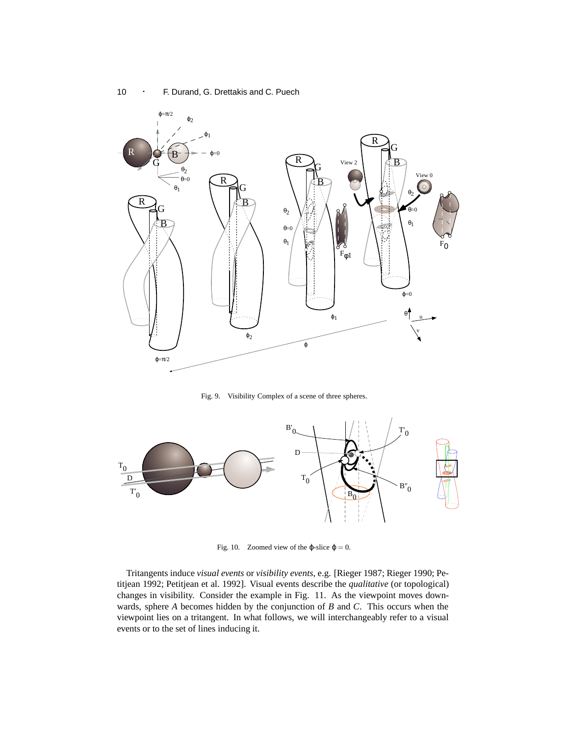

Fig. 9. Visibility Complex of a scene of three spheres.



Fig. 10. Zoomed view of the  $\varphi$ -slice  $\varphi = 0$ .

Tritangents induce *visual events* or *visibility events*, e.g. [Rieger 1987; Rieger 1990; Petitjean 1992; Petitjean et al. 1992]. Visual events describe the *qualitative* (or topological) changes in visibility. Consider the example in Fig. 11. As the viewpoint moves downwards, sphere *A* becomes hidden by the conjunction of *B* and *C*. This occurs when the viewpoint lies on a tritangent. In what follows, we will interchangeably refer to a visual events or to the set of lines inducing it.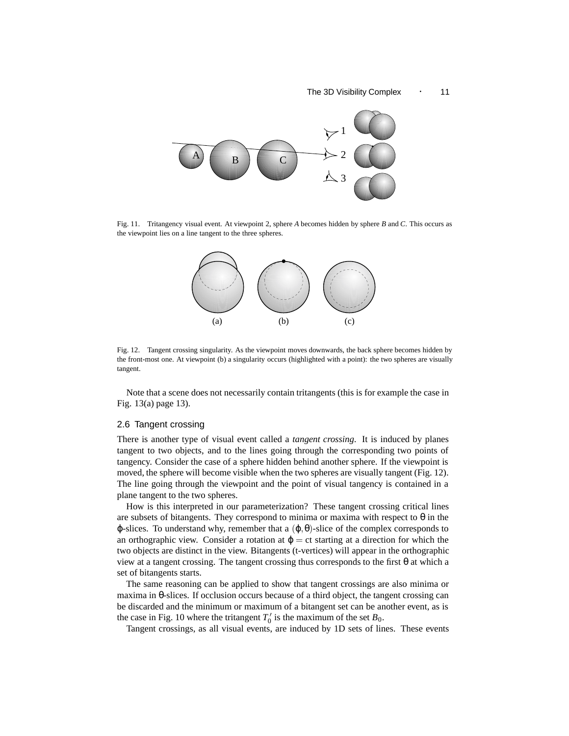#### The 3D Visibility Complex 11



Fig. 11. Tritangency visual event. At viewpoint 2, sphere *A* becomes hidden by sphere *B* and *C*. This occurs as the viewpoint lies on a line tangent to the three spheres.



Fig. 12. Tangent crossing singularity. As the viewpoint moves downwards, the back sphere becomes hidden by the front-most one. At viewpoint (b) a singularity occurs (highlighted with a point): the two spheres are visually tangent.

Note that a scene does not necessarily contain tritangents (this is for example the case in Fig. 13(a) page 13).

#### 2.6 Tangent crossing

There is another type of visual event called a *tangent crossing*. It is induced by planes tangent to two objects, and to the lines going through the corresponding two points of tangency. Consider the case of a sphere hidden behind another sphere. If the viewpoint is moved, the sphere will become visible when the two spheres are visually tangent (Fig. 12). The line going through the viewpoint and the point of visual tangency is contained in a plane tangent to the two spheres.

How is this interpreted in our parameterization? These tangent crossing critical lines are subsets of bitangents. They correspond to minima or maxima with respect to  $\theta$  in the  $\varphi$ -slices. To understand why, remember that a  $(\varphi, \theta)$ -slice of the complex corresponds to an orthographic view. Consider a rotation at  $\varphi = ct$  starting at a direction for which the two objects are distinct in the view. Bitangents (t-vertices) will appear in the orthographic view at a tangent crossing. The tangent crossing thus corresponds to the first  $\theta$  at which a set of bitangents starts.

The same reasoning can be applied to show that tangent crossings are also minima or maxima in θ-slices. If occlusion occurs because of a third object, the tangent crossing can be discarded and the minimum or maximum of a bitangent set can be another event, as is the case in Fig. 10 where the tritangent  $T'_0$  is the maximum of the set  $B_0$ .

Tangent crossings, as all visual events, are induced by 1D sets of lines. These events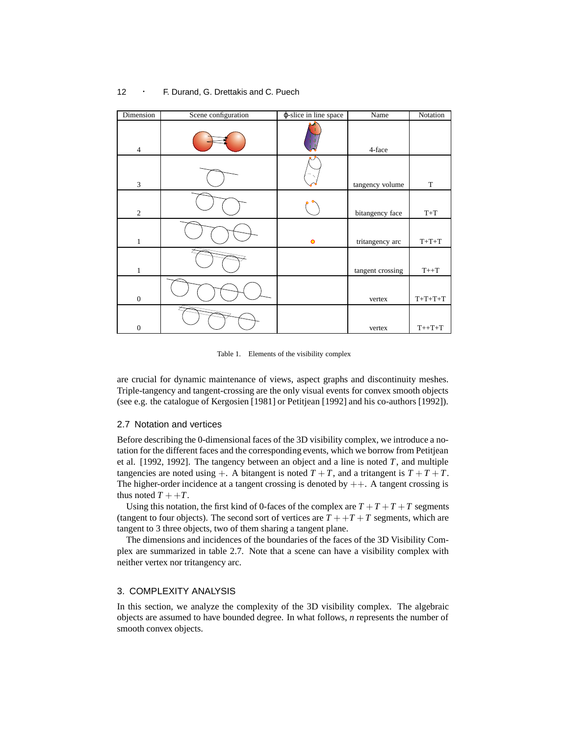# Dimension Scene configuration  $\phi$ -slice in line space Name Notation  $4 \t\t 4$ -face  $\bigcup$  tangency volume T 2 bitangency face T+T  $1 \quad | \quad \cup \quad \cup \quad \vert \quad$  0 | tritangency arc | T+T+T 1 tangent crossing T++T 0 vertex T+T+T+T 0 vertex T++T+T

#### 12 **· F. Durand, G. Drettakis and C. Puech**

Table 1. Elements of the visibility complex

are crucial for dynamic maintenance of views, aspect graphs and discontinuity meshes. Triple-tangency and tangent-crossing are the only visual events for convex smooth objects (see e.g. the catalogue of Kergosien [1981] or Petitjean [1992] and his co-authors [1992]).

#### 2.7 Notation and vertices

Before describing the 0-dimensional faces of the 3D visibility complex, we introduce a notation for the different faces and the corresponding events, which we borrow from Petitjean et al. [1992, 1992]. The tangency between an object and a line is noted *T*, and multiple tangencies are noted using  $+$ . A bitangent is noted  $T + T$ , and a tritangent is  $T + T + T$ . The higher-order incidence at a tangent crossing is denoted by  $++$ . A tangent crossing is thus noted  $T + T$ .

Using this notation, the first kind of 0-faces of the complex are  $T + T + T + T$  segments (tangent to four objects). The second sort of vertices are  $T + T + T$  segments, which are tangent to 3 three objects, two of them sharing a tangent plane.

The dimensions and incidences of the boundaries of the faces of the 3D Visibility Complex are summarized in table 2.7. Note that a scene can have a visibility complex with neither vertex nor tritangency arc.

#### 3. COMPLEXITY ANALYSIS

In this section, we analyze the complexity of the 3D visibility complex. The algebraic objects are assumed to have bounded degree. In what follows, *n* represents the number of smooth convex objects.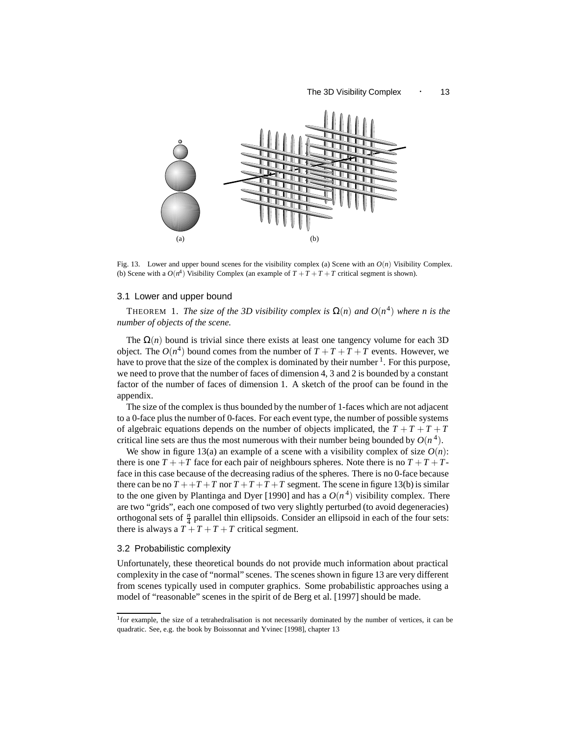#### The 3D Visibility Complex • 13



Fig. 13. Lower and upper bound scenes for the visibility complex (a) Scene with an  $O(n)$  Visibility Complex. (b) Scene with a  $O(n^4)$  Visibility Complex (an example of  $T + T + T$  critical segment is shown).

#### 3.1 Lower and upper bound

THEOREM 1. *The size of the 3D visibility complex is*  $\Omega(n)$  *and*  $O(n^4)$  *where n is the number of objects of the scene.*

The  $\Omega(n)$  bound is trivial since there exists at least one tangency volume for each 3D object. The  $O(n^4)$  bound comes from the number of  $T + T + T + T$  events. However, we have to prove that the size of the complex is dominated by their number  $<sup>1</sup>$ . For this purpose,</sup> we need to prove that the number of faces of dimension 4, 3 and 2 is bounded by a constant factor of the number of faces of dimension 1. A sketch of the proof can be found in the appendix.

The size of the complex is thus bounded by the number of 1-faces which are not adjacent to a 0-face plus the number of 0-faces. For each event type, the number of possible systems of algebraic equations depends on the number of objects implicated, the  $T + T + T + T$ critical line sets are thus the most numerous with their number being bounded by  $O(n^4)$ .

We show in figure 13(a) an example of a scene with a visibility complex of size  $O(n)$ : there is one  $T + T$  face for each pair of neighbours spheres. Note there is no  $T + T + T$ face in this case because of the decreasing radius of the spheres. There is no 0-face because there can be no  $T + T + T$  nor  $T + T + T + T$  segment. The scene in figure 13(b) is similar to the one given by Plantinga and Dyer [1990] and has a  $O(n^4)$  visibility complex. There are two "grids", each one composed of two very slightly perturbed (to avoid degeneracies) orthogonal sets of  $\frac{n}{4}$  parallel thin ellipsoids. Consider an ellipsoid in each of the four sets: there is always a  $T + T + T + T$  critical segment.

#### 3.2 Probabilistic complexity

Unfortunately, these theoretical bounds do not provide much information about practical complexity in the case of "normal" scenes. The scenes shown in figure 13 are very different from scenes typically used in computer graphics. Some probabilistic approaches using a model of "reasonable" scenes in the spirit of de Berg et al. [1997] should be made.

<sup>1</sup>for example, the size of a tetrahedralisation is not necessarily dominated by the number of vertices, it can be quadratic. See, e.g. the book by Boissonnat and Yvinec [1998], chapter 13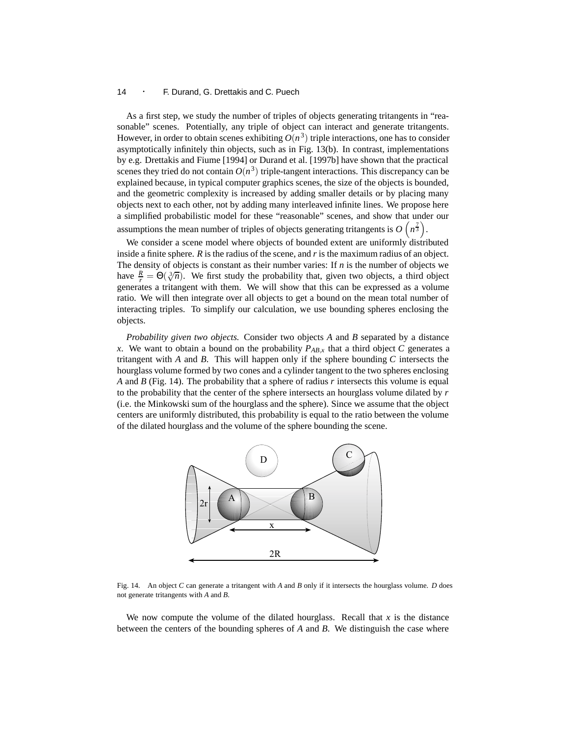As a first step, we study the number of triples of objects generating tritangents in "reasonable" scenes. Potentially, any triple of object can interact and generate tritangents. However, in order to obtain scenes exhibiting  $O(n^3)$  triple interactions, one has to consider asymptotically infinitely thin objects, such as in Fig. 13(b). In contrast, implementations by e.g. Drettakis and Fiume [1994] or Durand et al. [1997b] have shown that the practical scenes they tried do not contain  $O(n^3)$  triple-tangent interactions. This discrepancy can be explained because, in typical computer graphics scenes, the size of the objects is bounded, and the geometric complexity is increased by adding smaller details or by placing many objects next to each other, not by adding many interleaved infinite lines. We propose here a simplified probabilistic model for these "reasonable" scenes, and show that under our assumptions the mean number of triples of objects generating tritangents is  $O(n^{\frac{7}{3}})$ .

We consider a scene model where objects of bounded extent are uniformly distributed inside a finite sphere.  $R$  is the radius of the scene, and  $r$  is the maximum radius of an object. The density of objects is constant as their number varies: If  $n$  is the number of objects we have  $\frac{R}{r} = \Theta(\sqrt[3]{n})$ . We first study the probability that, given two objects, a third object generates a tritangent with them. We will show that this can be expressed as a volume ratio. We will then integrate over all objects to get a bound on the mean total number of interacting triples. To simplify our calculation, we use bounding spheres enclosing the objects.

*Probability given two objects.* Consider two objects *A* and *B* separated by a distance *x*. We want to obtain a bound on the probability  $P_{AB,x}$  that a third object *C* generates a tritangent with *A* and *B*. This will happen only if the sphere bounding *C* intersects the hourglass volume formed by two cones and a cylinder tangent to the two spheres enclosing *A* and *B* (Fig. 14). The probability that a sphere of radius *r* intersects this volume is equal to the probability that the center of the sphere intersects an hourglass volume dilated by *r* (i.e. the Minkowski sum of the hourglass and the sphere). Since we assume that the object centers are uniformly distributed, this probability is equal to the ratio between the volume of the dilated hourglass and the volume of the sphere bounding the scene.



Fig. 14. An object *C* can generate a tritangent with *A* and *B* only if it intersects the hourglass volume. *D* does not generate tritangents with *A* and *B*.

We now compute the volume of the dilated hourglass. Recall that *x* is the distance between the centers of the bounding spheres of *A* and *B*. We distinguish the case where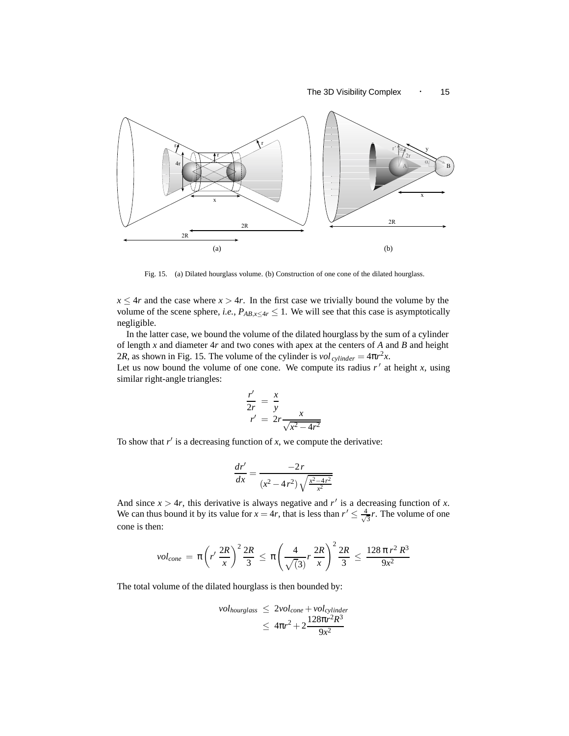

Fig. 15. (a) Dilated hourglass volume. (b) Construction of one cone of the dilated hourglass.

 $x \leq 4r$  and the case where  $x > 4r$ . In the first case we trivially bound the volume by the volume of the scene sphere, *i.e.*,  $P_{AB,x \leq 4r} \leq 1$ . We will see that this case is asymptotically negligible.

In the latter case, we bound the volume of the dilated hourglass by the sum of a cylinder of length *x* and diameter 4*r* and two cones with apex at the centers of *A* and *B* and height 2*R*, as shown in Fig. 15. The volume of the cylinder is  $vol_{cylinder} = 4\pi r^2x$ .

Let us now bound the volume of one cone. We compute its radius  $r'$  at height  $x$ , using similar right-angle triangles:

$$
\frac{r'}{2r} = \frac{x}{y}
$$
  

$$
r' = 2r \frac{x}{\sqrt{x^2 - 4r^2}}
$$

To show that  $r'$  is a decreasing function of  $x$ , we compute the derivative:

$$
\frac{dr'}{dx} = \frac{-2r}{(x^2 - 4r^2)\sqrt{\frac{x^2 - 4r^2}{x^2}}}
$$

And since  $x > 4r$ , this derivative is always negative and  $r'$  is a decreasing function of x. We can thus bound it by its value for  $x = 4r$ , that is less than  $r' \leq \frac{4}{\sqrt{3}}r$ . The volume of one cone is then:

$$
vol_{cone} = \pi \left( r' \frac{2R}{x} \right)^2 \frac{2R}{3} \le \pi \left( \frac{4}{\sqrt{3}} r \frac{2R}{x} \right)^2 \frac{2R}{3} \le \frac{128 \pi r^2 R^3}{9x^2}
$$

The total volume of the dilated hourglass is then bounded by:

$$
vol_{hourglass} \leq 2vol_{cone} + vol_{cylinder} \leq 4\pi r^2 + 2\frac{128\pi r^2 R^3}{9x^2}
$$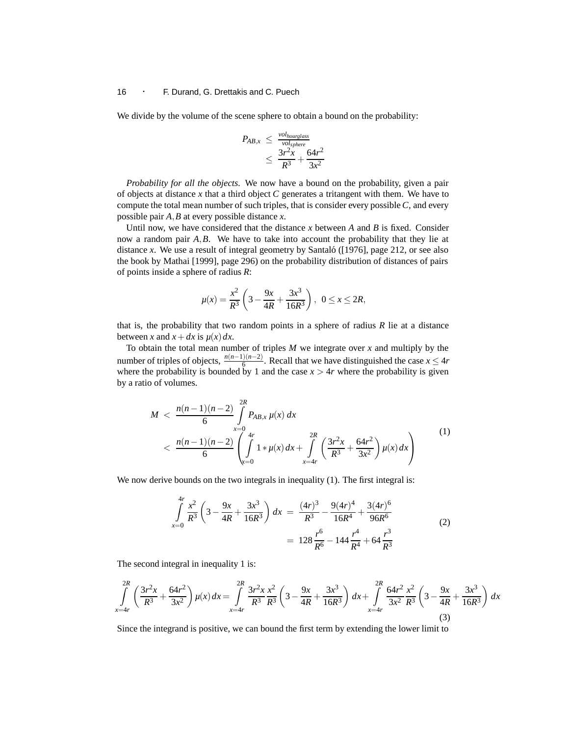We divide by the volume of the scene sphere to obtain a bound on the probability:

$$
P_{AB,x} \leq \frac{vol_{hourglass}}{vol_{sphere}} \leq \frac{3r^2x}{R^3} + \frac{64r^2}{3x^2}
$$

*Probability for all the objects.* We now have a bound on the probability, given a pair of objects at distance *x* that a third object *C* generates a tritangent with them. We have to compute the total mean number of such triples, that is consider every possible *C*, and every possible pair *A*,*B* at every possible distance *x*.

Until now, we have considered that the distance *x* between *A* and *B* is fixed. Consider now a random pair *A*,*B*. We have to take into account the probability that they lie at distance *x*. We use a result of integral geometry by Santaló ([1976], page 212, or see also the book by Mathai [1999], page 296) on the probability distribution of distances of pairs of points inside a sphere of radius *R*:

$$
\mu(x) = \frac{x^2}{R^3} \left( 3 - \frac{9x}{4R} + \frac{3x^3}{16R^3} \right), \ \ 0 \le x \le 2R,
$$

that is, the probability that two random points in a sphere of radius *R* lie at a distance between *x* and  $x + dx$  is  $\mu(x) dx$ .

To obtain the total mean number of triples *M* we integrate over *x* and multiply by the number of triples of objects,  $\frac{n(n-1)(n-2)}{6}$ . Recall that we have distinguished the case *x* ≤ 4*r* where the probability is bounded by 1 and the case  $x > 4r$  where the probability is given by a ratio of volumes.

$$
M < \frac{n(n-1)(n-2)}{6} \int_{x=0}^{2R} P_{AB,x} \mu(x) \, dx \\ < \frac{n(n-1)(n-2)}{6} \left( \int_{x=0}^{4r} 1 * \mu(x) \, dx + \int_{x=4r}^{2R} \left( \frac{3r^2 x}{R^3} + \frac{64r^2}{3x^2} \right) \mu(x) \, dx \right) \tag{1}
$$

We now derive bounds on the two integrals in inequality (1). The first integral is:

$$
\int_{x=0}^{4r} \frac{x^2}{R^3} \left(3 - \frac{9x}{4R} + \frac{3x^3}{16R^3}\right) dx = \frac{(4r)^3}{R^3} - \frac{9(4r)^4}{16R^4} + \frac{3(4r)^6}{96R^6}
$$
\n
$$
= 128 \frac{r^6}{R^6} - 144 \frac{r^4}{R^4} + 64 \frac{r^3}{R^3}
$$
\n(2)

The second integral in inequality 1 is:

$$
\int_{x=4r}^{2R} \left( \frac{3r^2x}{R^3} + \frac{64r^2}{3x^2} \right) \mu(x) dx = \int_{x=4r}^{2R} \frac{3r^2x}{R^3} \frac{x^2}{R^3} \left( 3 - \frac{9x}{4R} + \frac{3x^3}{16R^3} \right) dx + \int_{x=4r}^{2R} \frac{64r^2}{3x^2} \frac{x^2}{R^3} \left( 3 - \frac{9x}{4R} + \frac{3x^3}{16R^3} \right) dx
$$
\n(3)

Since the integrand is positive, we can bound the first term by extending the lower limit to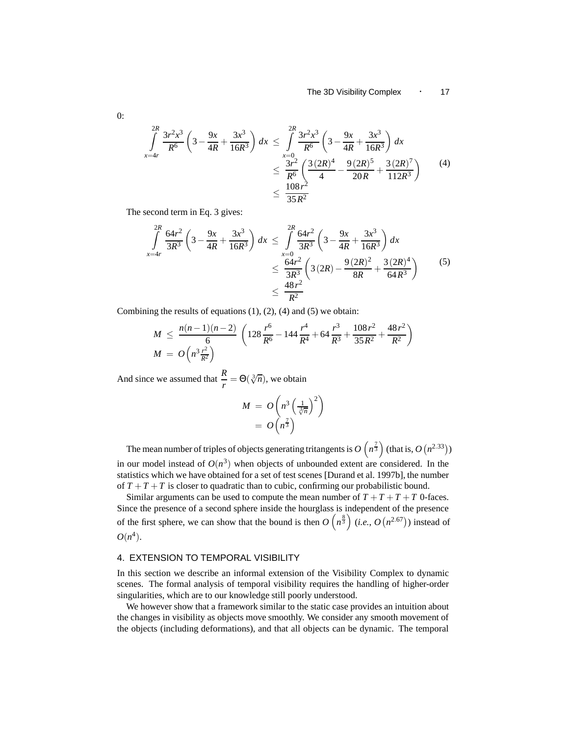$$
\int_{x=4r}^{2R} \frac{3r^2x^3}{R^6} \left(3 - \frac{9x}{4R} + \frac{3x^3}{16R^3}\right) dx \le \int_{x=0}^{2R} \frac{3r^2x^3}{R^6} \left(3 - \frac{9x}{4R} + \frac{3x^3}{16R^3}\right) dx
$$
  

$$
\le \frac{3r^2}{R^6} \left(\frac{3(2R)^4}{4} - \frac{9(2R)^5}{20R} + \frac{3(2R)^7}{112R^3}\right)
$$
(4)  

$$
\le \frac{108r^2}{35R^2}
$$

The second term in Eq. 3 gives:

$$
\int_{x=4r}^{2R} \frac{64r^2}{3R^3} \left(3 - \frac{9x}{4R} + \frac{3x^3}{16R^3}\right) dx \le \int_{x=0}^{2R} \frac{64r^2}{3R^3} \left(3 - \frac{9x}{4R} + \frac{3x^3}{16R^3}\right) dx
$$
  

$$
\le \frac{64r^2}{3R^3} \left(3(2R) - \frac{9(2R)^2}{8R} + \frac{3(2R)^4}{64R^3}\right)
$$
(5)  

$$
\le \frac{48r^2}{R^2}
$$

Combining the results of equations  $(1)$ ,  $(2)$ ,  $(4)$  and  $(5)$  we obtain:

$$
M \leq \frac{n(n-1)(n-2)}{6} \left(128\frac{r^6}{R^6} - 144\frac{r^4}{R^4} + 64\frac{r^3}{R^3} + \frac{108r^2}{35R^2} + \frac{48r^2}{R^2}\right)
$$
  

$$
M = O\left(n^3\frac{r^2}{R^2}\right)
$$

And since we assumed that  $\frac{R}{r} = \Theta(\sqrt[3]{n})$ , we obtain

$$
M = O\left(n^3 \left(\frac{1}{\sqrt[3]{n}}\right)^2\right)
$$
  
=  $O\left(n^{\frac{7}{3}}\right)$ 

The mean number of triples of objects generating tritangents is  $O(n^{\frac{7}{3}})$  (that is,  $O(n^{2.33})$ ) in our model instead of  $O(n^3)$  when objects of unbounded extent are considered. In the statistics which we have obtained for a set of test scenes [Durand et al. 1997b], the number of  $T + T + T$  is closer to quadratic than to cubic, confirming our probabilistic bound.

Similar arguments can be used to compute the mean number of  $T + T + T + T$  0-faces. Since the presence of a second sphere inside the hourglass is independent of the presence of the first sphere, we can show that the bound is then  $O(n^{\frac{8}{3}})$  (*i.e.*,  $O(n^{2.67})$ ) instead of  $O(n^4)$ .

#### 4. EXTENSION TO TEMPORAL VISIBILITY

In this section we describe an informal extension of the Visibility Complex to dynamic scenes. The formal analysis of temporal visibility requires the handling of higher-order singularities, which are to our knowledge still poorly understood.

We however show that a framework similar to the static case provides an intuition about the changes in visibility as objects move smoothly. We consider any smooth movement of the objects (including deformations), and that all objects can be dynamic. The temporal

0: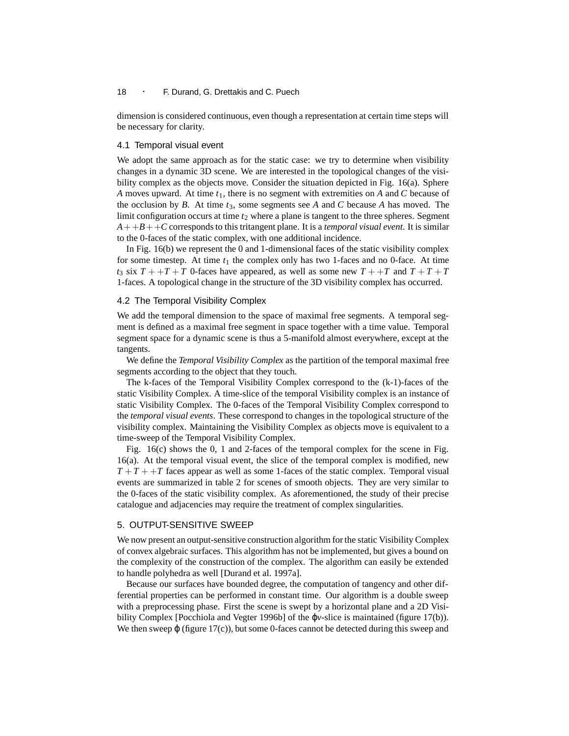dimension is considered continuous, even though a representation at certain time steps will be necessary for clarity.

#### 4.1 Temporal visual event

We adopt the same approach as for the static case: we try to determine when visibility changes in a dynamic 3D scene. We are interested in the topological changes of the visibility complex as the objects move. Consider the situation depicted in Fig. 16(a). Sphere *A* moves upward. At time *t*1, there is no segment with extremities on *A* and *C* because of the occlusion by *B*. At time *t*3, some segments see *A* and *C* because *A* has moved. The limit configuration occurs at time  $t_2$  where a plane is tangent to the three spheres. Segment  $A + B + C$  corresponds to this tritangent plane. It is a *temporal visual event*. It is similar to the 0-faces of the static complex, with one additional incidence.

In Fig. 16(b) we represent the 0 and 1-dimensional faces of the static visibility complex for some timestep. At time  $t_1$  the complex only has two 1-faces and no 0-face. At time  $t_3$  six  $T + T + T$  0-faces have appeared, as well as some new  $T + T$  and  $T + T + T$ 1-faces. A topological change in the structure of the 3D visibility complex has occurred.

#### 4.2 The Temporal Visibility Complex

We add the temporal dimension to the space of maximal free segments. A temporal segment is defined as a maximal free segment in space together with a time value. Temporal segment space for a dynamic scene is thus a 5-manifold almost everywhere, except at the tangents.

We define the *Temporal Visibility Complex* as the partition of the temporal maximal free segments according to the object that they touch.

The k-faces of the Temporal Visibility Complex correspond to the (k-1)-faces of the static Visibility Complex. A time-slice of the temporal Visibility complex is an instance of static Visibility Complex. The 0-faces of the Temporal Visibility Complex correspond to the *temporal visual events*. These correspond to changes in the topological structure of the visibility complex. Maintaining the Visibility Complex as objects move is equivalent to a time-sweep of the Temporal Visibility Complex.

Fig. 16(c) shows the 0, 1 and 2-faces of the temporal complex for the scene in Fig. 16(a). At the temporal visual event, the slice of the temporal complex is modified, new  $T + T + T$  faces appear as well as some 1-faces of the static complex. Temporal visual events are summarized in table 2 for scenes of smooth objects. They are very similar to the 0-faces of the static visibility complex. As aforementioned, the study of their precise catalogue and adjacencies may require the treatment of complex singularities.

#### 5. OUTPUT-SENSITIVE SWEEP

We now present an output-sensitive construction algorithm for the static Visibility Complex of convex algebraic surfaces. This algorithm has not be implemented, but gives a bound on the complexity of the construction of the complex. The algorithm can easily be extended to handle polyhedra as well [Durand et al. 1997a].

Because our surfaces have bounded degree, the computation of tangency and other differential properties can be performed in constant time. Our algorithm is a double sweep with a preprocessing phase. First the scene is swept by a horizontal plane and a 2D Visibility Complex [Pocchiola and Vegter 1996b] of the ϕ*v*-slice is maintained (figure 17(b)). We then sweep  $\varphi$  (figure 17(c)), but some 0-faces cannot be detected during this sweep and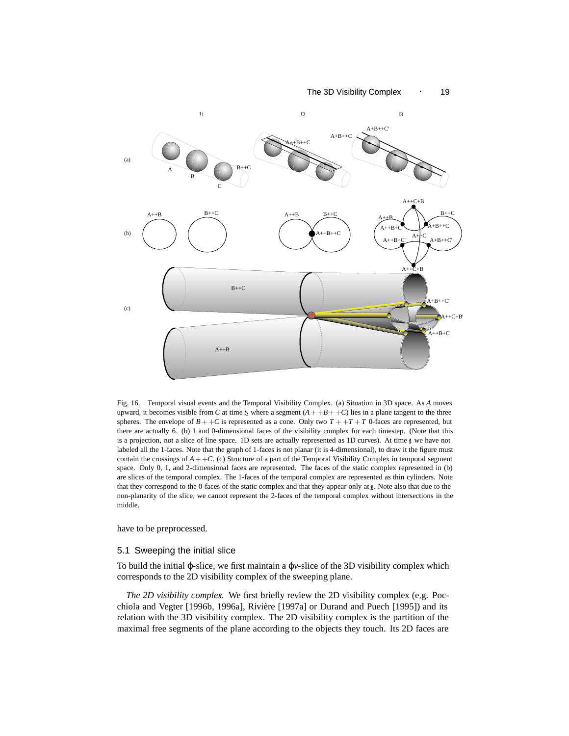#### The 3D Visibility Complex · 19



Fig. 16. Temporal visual events and the Temporal Visibility Complex. (a) Situation in 3D space. As *A* moves upward, it becomes visible from *C* at time  $\chi$  where a segment  $(A + +B + +C)$  lies in a plane tangent to the three spheres. The envelope of  $B + +C$  is represented as a cone. Only two  $T + +T + T$  0-faces are represented, but there are actually 6. (b) 1 and 0-dimensional faces of the visibility complex for each timestep. (Note that this is a projection, not a slice of line space. 1D sets are actually represented as 1D curves). At time  $\oint$  we have not labeled all the 1-faces. Note that the graph of 1-faces is not planar (it is 4-dimensional), to draw it the figure must contain the crossings of  $A + +C$ . (c) Structure of a part of the Temporal Visibility Complex in temporal segment space. Only 0, 1, and 2-dimensional faces are represented. The faces of the static complex represented in (b) are slices of the temporal complex. The 1-faces of the temporal complex are represented as thin cylinders. Note that they correspond to the 0-faces of the static complex and that they appear only at  $\underline{\mathbf{t}}$ . Note also that due to the non-planarity of the slice, we cannot represent the 2-faces of the temporal complex without intersections in the middle.

have to be preprocessed.

#### 5.1 Sweeping the initial slice

To build the initial ϕ-slice, we first maintain a ϕ*v*-slice of the 3D visibility complex which corresponds to the 2D visibility complex of the sweeping plane.

*The 2D visibility complex.* We first briefly review the 2D visibility complex (e.g. Pocchiola and Vegter [1996b, 1996a], Rivière [1997a] or Durand and Puech [1995]) and its relation with the 3D visibility complex. The 2D visibility complex is the partition of the maximal free segments of the plane according to the objects they touch. Its 2D faces are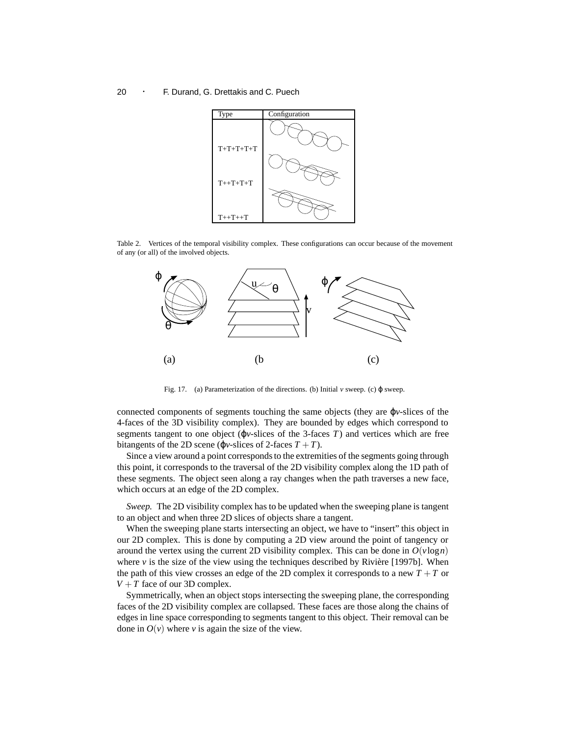

Table 2. Vertices of the temporal visibility complex. These configurations can occur because of the movement of any (or all) of the involved objects.



Fig. 17. (a) Parameterization of the directions. (b) Initial *v* sweep. (c) ϕ sweep.

connected components of segments touching the same objects (they are ϕ*v*-slices of the 4-faces of the 3D visibility complex). They are bounded by edges which correspond to segments tangent to one object ( $\varphi$ *v*-slices of the 3-faces *T*) and vertices which are free bitangents of the 2D scene ( $\varphi$ *v*-slices of 2-faces  $T + T$ ).

Since a view around a point corresponds to the extremities of the segments going through this point, it corresponds to the traversal of the 2D visibility complex along the 1D path of these segments. The object seen along a ray changes when the path traverses a new face, which occurs at an edge of the 2D complex.

*Sweep.* The 2D visibility complex has to be updated when the sweeping plane is tangent to an object and when three 2D slices of objects share a tangent.

When the sweeping plane starts intersecting an object, we have to "insert" this object in our 2D complex. This is done by computing a 2D view around the point of tangency or around the vertex using the current 2D visibility complex. This can be done in  $O(v \log n)$ where  $\nu$  is the size of the view using the techniques described by Rivière [1997b]. When the path of this view crosses an edge of the 2D complex it corresponds to a new *T* +*T* or  $V + T$  face of our 3D complex.

Symmetrically, when an object stops intersecting the sweeping plane, the corresponding faces of the 2D visibility complex are collapsed. These faces are those along the chains of edges in line space corresponding to segments tangent to this object. Their removal can be done in  $O(v)$  where *v* is again the size of the view.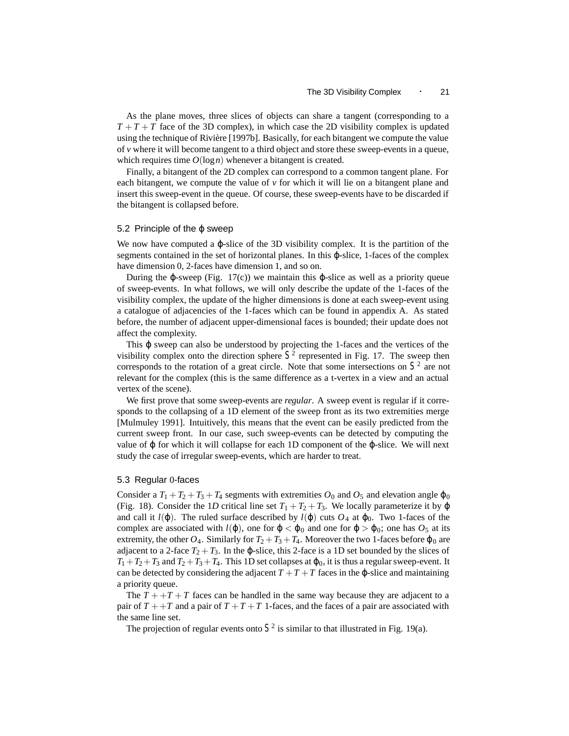As the plane moves, three slices of objects can share a tangent (corresponding to a  $T + T + T$  face of the 3D complex), in which case the 2D visibility complex is updated using the technique of Rivière [1997b]. Basically, for each bitangent we compute the value of  $\nu$  where it will become tangent to a third object and store these sweep-events in a queue, which requires time  $O(log n)$  whenever a bitangent is created.

Finally, a bitangent of the 2D complex can correspond to a common tangent plane. For each bitangent, we compute the value of  $\nu$  for which it will lie on a bitangent plane and insert this sweep-event in the queue. Of course, these sweep-events have to be discarded if the bitangent is collapsed before.

#### 5.2 Principle of the  $\varphi$  sweep

We now have computed a  $\varphi$ -slice of the 3D visibility complex. It is the partition of the segments contained in the set of horizontal planes. In this ϕ-slice, 1-faces of the complex have dimension 0, 2-faces have dimension 1, and so on.

During the φ-sweep (Fig. 17(c)) we maintain this φ-slice as well as a priority queue of sweep-events. In what follows, we will only describe the update of the 1-faces of the visibility complex, the update of the higher dimensions is done at each sweep-event using a catalogue of adjacencies of the 1-faces which can be found in appendix A. As stated before, the number of adjacent upper-dimensional faces is bounded; their update does not affect the complexity.

This  $\varphi$  sweep can also be understood by projecting the 1-faces and the vertices of the visibility complex onto the direction sphere  $S<sup>2</sup>$  represented in Fig. 17. The sweep then corresponds to the rotation of a great circle. Note that some intersections on  $S<sup>2</sup>$  are not relevant for the complex (this is the same difference as a t-vertex in a view and an actual vertex of the scene).

We first prove that some sweep-events are *regular*. A sweep event is regular if it corresponds to the collapsing of a 1D element of the sweep front as its two extremities merge [Mulmuley 1991]. Intuitively, this means that the event can be easily predicted from the current sweep front. In our case, such sweep-events can be detected by computing the value of  $\varphi$  for which it will collapse for each 1D component of the  $\varphi$ -slice. We will next study the case of irregular sweep-events, which are harder to treat.

#### 5.3 Regular 0-faces

Consider a  $T_1 + T_2 + T_3 + T_4$  segments with extremities  $O_0$  and  $O_5$  and elevation angle  $\varphi_0$ (Fig. 18). Consider the 1*D* critical line set  $T_1 + T_2 + T_3$ . We locally parameterize it by  $\varphi$ and call it  $l(\phi)$ . The ruled surface described by  $l(\phi)$  cuts  $O_4$  at  $\phi_0$ . Two 1-faces of the complex are associated with  $l(\phi)$ , one for  $\phi < \phi_0$  and one for  $\phi > \phi_0$ ; one has  $O_5$  at its extremity, the other  $O_4$ . Similarly for  $T_2 + T_3 + T_4$ . Moreover the two 1-faces before  $\varphi_0$  are adjacent to a 2-face  $T_2 + T_3$ . In the  $\varphi$ -slice, this 2-face is a 1D set bounded by the slices of  $T_1+T_2+T_3$  and  $T_2+T_3+T_4$ . This 1D set collapses at  $\varphi_0$ , it is thus a regular sweep-event. It can be detected by considering the adjacent  $T + T + T$  faces in the  $\varphi$ -slice and maintaining a priority queue.

The  $T + T + T$  faces can be handled in the same way because they are adjacent to a pair of  $T + T$  and a pair of  $T + T + T$  1-faces, and the faces of a pair are associated with the same line set.

The projection of regular events onto  $S^2$  is similar to that illustrated in Fig. 19(a).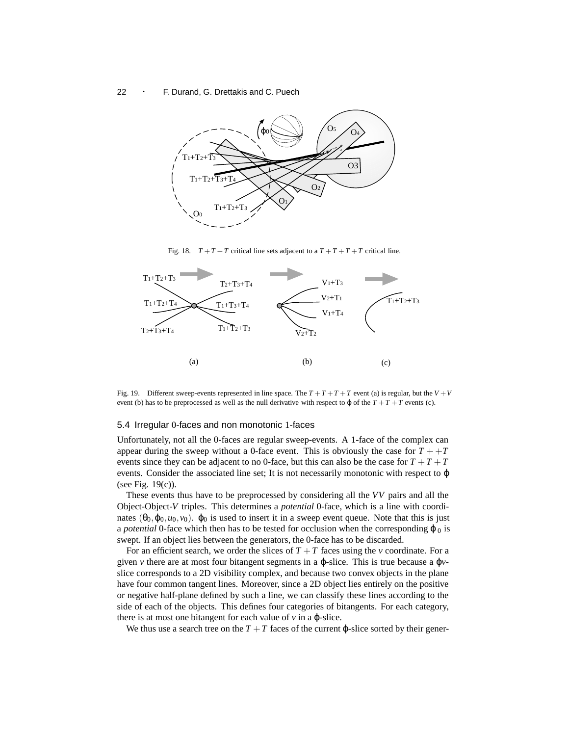

Fig. 18.  $T + T + T$  critical line sets adjacent to a  $T + T + T + T$  critical line.



Fig. 19. Different sweep-events represented in line space. The  $T + T + T + T$  event (a) is regular, but the  $V + V$ event (b) has to be preprocessed as well as the null derivative with respect to  $\varphi$  of the  $T + T + T$  events (c).

#### 5.4 Irregular 0-faces and non monotonic 1-faces

Unfortunately, not all the 0-faces are regular sweep-events. A 1-face of the complex can appear during the sweep without a 0-face event. This is obviously the case for  $T + T$ events since they can be adjacent to no 0-face, but this can also be the case for  $T + T + T$ events. Consider the associated line set; It is not necessarily monotonic with respect to  $\varphi$ (see Fig. 19(c)).

These events thus have to be preprocessed by considering all the *VV* pairs and all the Object-Object-*V* triples. This determines a *potential* 0-face, which is a line with coordinates  $(\theta_0, \varphi_0, u_0, v_0)$ .  $\varphi_0$  is used to insert it in a sweep event queue. Note that this is just a *potential* 0-face which then has to be tested for occlusion when the corresponding  $\varphi_0$  is swept. If an object lies between the generators, the 0-face has to be discarded.

For an efficient search, we order the slices of  $T + T$  faces using the *v* coordinate. For a given *v* there are at most four bitangent segments in a ϕ-slice. This is true because a ϕ*v*slice corresponds to a 2D visibility complex, and because two convex objects in the plane have four common tangent lines. Moreover, since a 2D object lies entirely on the positive or negative half-plane defined by such a line, we can classify these lines according to the side of each of the objects. This defines four categories of bitangents. For each category, there is at most one bitangent for each value of  $\nu$  in a  $\varphi$ -slice.

We thus use a search tree on the  $T + T$  faces of the current  $\varphi$ -slice sorted by their gener-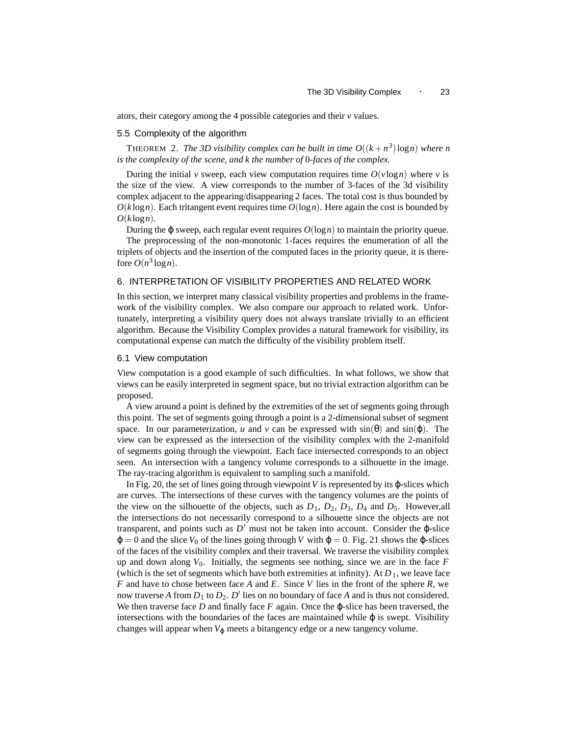ators, their category among the 4 possible categories and their *v* values.

#### 5.5 Complexity of the algorithm

THEOREM 2. *The 3D visibility complex can be built in time*  $O((k+n^3)\log n)$  *where n is the complexity of the scene, and k the number of* 0*-faces of the complex.*

During the initial *v* sweep, each view computation requires time  $O(v \log n)$  where *v* is the size of the view. A view corresponds to the number of 3-faces of the 3d visibility complex adjacent to the appearing/disappearing 2 faces. The total cost is thus bounded by  $O(k \log n)$ . Each tritangent event requires time  $O(\log n)$ . Here again the cost is bounded by  $O(k \log n)$ .

During the φ sweep, each regular event requires  $O(log n)$  to maintain the priority queue. The preprocessing of the non-monotonic 1-faces requires the enumeration of all the triplets of objects and the insertion of the computed faces in the priority queue, it is therefore  $O(n^3 \log n)$ .

#### 6. INTERPRETATION OF VISIBILITY PROPERTIES AND RELATED WORK

In this section, we interpret many classical visibility properties and problems in the framework of the visibility complex. We also compare our approach to related work. Unfortunately, interpreting a visibility query does not always translate trivially to an efficient algorithm. Because the Visibility Complex provides a natural framework for visibility, its computational expense can match the difficulty of the visibility problem itself.

#### 6.1 View computation

View computation is a good example of such difficulties. In what follows, we show that views can be easily interpreted in segment space, but no trivial extraction algorithm can be proposed.

A view around a point is defined by the extremities of the set of segments going through this point. The set of segments going through a point is a 2-dimensional subset of segment space. In our parameterization, *u* and *v* can be expressed with  $sin(\theta)$  and  $sin(\phi)$ . The view can be expressed as the intersection of the visibility complex with the 2-manifold of segments going through the viewpoint. Each face intersected corresponds to an object seen. An intersection with a tangency volume corresponds to a silhouette in the image. The ray-tracing algorithm is equivalent to sampling such a manifold.

In Fig. 20, the set of lines going through viewpoint  $V$  is represented by its  $\varphi$ -slices which are curves. The intersections of these curves with the tangency volumes are the points of the view on the silhouette of the objects, such as  $D_1$ ,  $D_2$ ,  $D_3$ ,  $D_4$  and  $D_5$ . However,all the intersections do not necessarily correspond to a silhouette since the objects are not transparent, and points such as  $D'$  must not be taken into account. Consider the  $\varphi$ -slice  $\varphi = 0$  and the slice  $V_0$  of the lines going through *V* with  $\varphi = 0$ . Fig. 21 shows the  $\varphi$ -slices of the faces of the visibility complex and their traversal. We traverse the visibility complex up and down along  $V_0$ . Initially, the segments see nothing, since we are in the face  $F$ (which is the set of segments which have both extremities at infinity). At  $D_1$ , we leave face *F* and have to chose between face *A* and *E*. Since *V* lies in the front of the sphere *R*, we now traverse A from  $D_1$  to  $D_2$ .  $D'$  lies on no boundary of face A and is thus not considered. We then traverse face  $D$  and finally face  $F$  again. Once the  $\varphi$ -slice has been traversed, the intersections with the boundaries of the faces are maintained while  $\varphi$  is swept. Visibility changes will appear when  $V_{\varphi}$  meets a bitangency edge or a new tangency volume.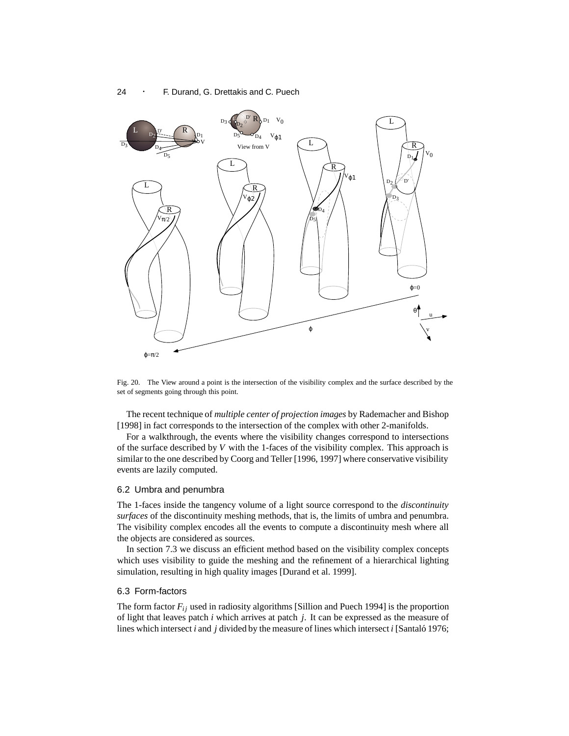

Fig. 20. The View around a point is the intersection of the visibility complex and the surface described by the set of segments going through this point.

The recent technique of *multiple center of projection images* by Rademacher and Bishop [1998] in fact corresponds to the intersection of the complex with other 2-manifolds.

For a walkthrough, the events where the visibility changes correspond to intersections of the surface described by *V* with the 1-faces of the visibility complex. This approach is similar to the one described by Coorg and Teller [1996, 1997] where conservative visibility events are lazily computed.

#### 6.2 Umbra and penumbra

The 1-faces inside the tangency volume of a light source correspond to the *discontinuity surfaces* of the discontinuity meshing methods, that is, the limits of umbra and penumbra. The visibility complex encodes all the events to compute a discontinuity mesh where all the objects are considered as sources.

In section 7.3 we discuss an efficient method based on the visibility complex concepts which uses visibility to guide the meshing and the refinement of a hierarchical lighting simulation, resulting in high quality images [Durand et al. 1999].

#### 6.3 Form-factors

The form factor  $F_{ij}$  used in radiosity algorithms [Sillion and Puech 1994] is the proportion of light that leaves patch *i* which arrives at patch *j*. It can be expressed as the measure of lines which intersect *i* and *j* divided by the measure of lines which intersect *i* [Santaló 1976;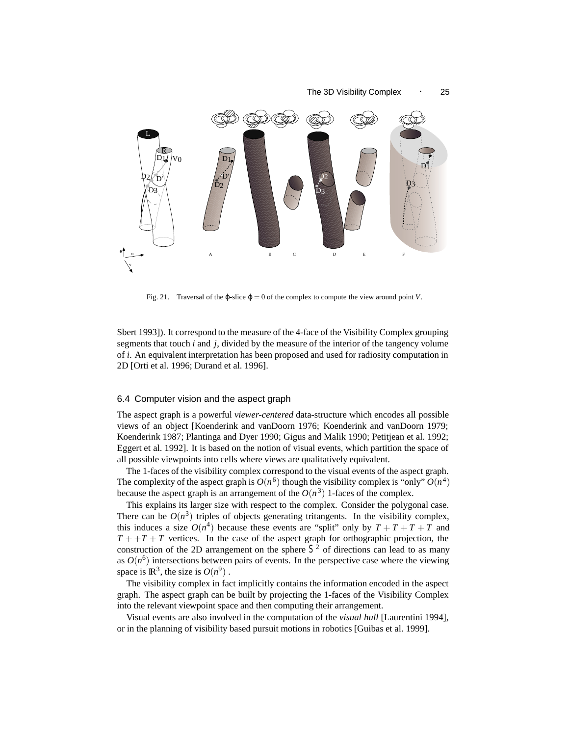

Fig. 21. Traversal of the  $\varphi$ -slice  $\varphi = 0$  of the complex to compute the view around point *V*.

Sbert 1993]). It correspond to the measure of the 4-face of the Visibility Complex grouping segments that touch *i* and *j*, divided by the measure of the interior of the tangency volume of *i*. An equivalent interpretation has been proposed and used for radiosity computation in 2D [Orti et al. 1996; Durand et al. 1996].

#### 6.4 Computer vision and the aspect graph

The aspect graph is a powerful *viewer-centered* data-structure which encodes all possible views of an object [Koenderink and vanDoorn 1976; Koenderink and vanDoorn 1979; Koenderink 1987; Plantinga and Dyer 1990; Gigus and Malik 1990; Petitjean et al. 1992; Eggert et al. 1992]. It is based on the notion of visual events, which partition the space of all possible viewpoints into cells where views are qualitatively equivalent.

The 1-faces of the visibility complex correspond to the visual events of the aspect graph. The complexity of the aspect graph is  $O(n^6)$  though the visibility complex is "only"  $O(n^4)$ because the aspect graph is an arrangement of the  $O(n^3)$  1-faces of the complex.

This explains its larger size with respect to the complex. Consider the polygonal case. There can be  $O(n^3)$  triples of objects generating tritangents. In the visibility complex, this induces a size  $O(n^4)$  because these events are "split" only by  $T + T + T + T$  and  $T + T + T$  vertices. In the case of the aspect graph for orthographic projection, the construction of the 2D arrangement on the sphere  $S<sup>2</sup>$  of directions can lead to as many as  $O(n^6)$  intersections between pairs of events. In the perspective case where the viewing space is  $\mathbb{R}^3$ , the size is  $O(n^9)$ .

The visibility complex in fact implicitly contains the information encoded in the aspect graph. The aspect graph can be built by projecting the 1-faces of the Visibility Complex into the relevant viewpoint space and then computing their arrangement.

Visual events are also involved in the computation of the *visual hull* [Laurentini 1994], or in the planning of visibility based pursuit motions in robotics [Guibas et al. 1999].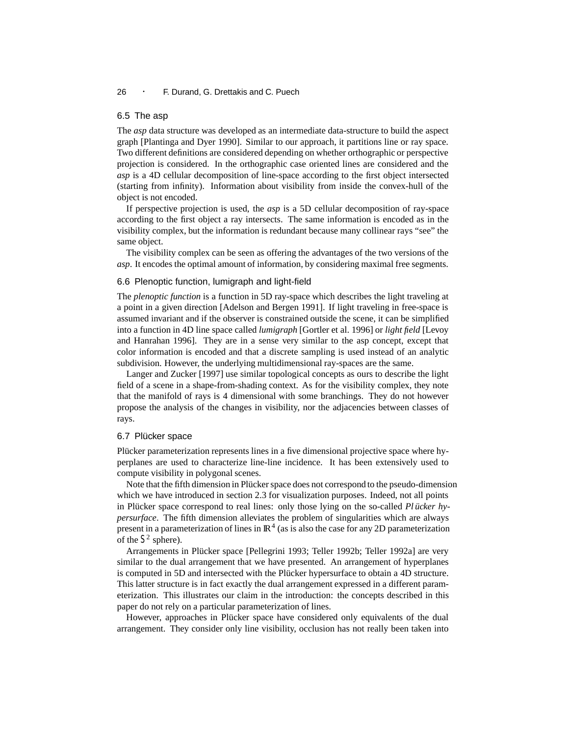#### 6.5 The asp

The *asp* data structure was developed as an intermediate data-structure to build the aspect graph [Plantinga and Dyer 1990]. Similar to our approach, it partitions line or ray space. Two different definitions are considered depending on whether orthographic or perspective projection is considered. In the orthographic case oriented lines are considered and the *asp* is a 4D cellular decomposition of line-space according to the first object intersected (starting from infinity). Information about visibility from inside the convex-hull of the object is not encoded.

If perspective projection is used, the *asp* is a 5D cellular decomposition of ray-space according to the first object a ray intersects. The same information is encoded as in the visibility complex, but the information is redundant because many collinear rays "see" the same object.

The visibility complex can be seen as offering the advantages of the two versions of the *asp*. It encodes the optimal amount of information, by considering maximal free segments.

#### 6.6 Plenoptic function, lumigraph and light-field

The *plenoptic function* is a function in 5D ray-space which describes the light traveling at a point in a given direction [Adelson and Bergen 1991]. If light traveling in free-space is assumed invariant and if the observer is constrained outside the scene, it can be simplified into a function in 4D line space called *lumigraph* [Gortler et al. 1996] or *light field* [Levoy and Hanrahan 1996]. They are in a sense very similar to the asp concept, except that color information is encoded and that a discrete sampling is used instead of an analytic subdivision. However, the underlying multidimensional ray-spaces are the same.

Langer and Zucker [1997] use similar topological concepts as ours to describe the light field of a scene in a shape-from-shading context. As for the visibility complex, they note that the manifold of rays is 4 dimensional with some branchings. They do not however propose the analysis of the changes in visibility, nor the adjacencies between classes of rays.

#### 6.7 Plücker space

Plucker parameterization represents lines in a five dimensional projective space where hyperplanes are used to characterize line-line incidence. It has been extensively used to compute visibility in polygonal scenes.

Note that the fifth dimension in Plücker space does not correspond to the pseudo-dimension which we have introduced in section 2.3 for visualization purposes. Indeed, not all points in Plücker space correspond to real lines: only those lying on the so-called *Pl ücker hypersurface*. The fifth dimension alleviates the problem of singularities which are always present in a parameterization of lines in  $\mathbb{R}^4$  (as is also the case for any 2D parameterization of the  $S^2$  sphere).

Arrangements in Plücker space [Pellegrini 1993; Teller 1992b; Teller 1992a] are very similar to the dual arrangement that we have presented. An arrangement of hyperplanes is computed in 5D and intersected with the Plücker hypersurface to obtain a 4D structure. This latter structure is in fact exactly the dual arrangement expressed in a different parameterization. This illustrates our claim in the introduction: the concepts described in this paper do not rely on a particular parameterization of lines.

However, approaches in Plücker space have considered only equivalents of the dual arrangement. They consider only line visibility, occlusion has not really been taken into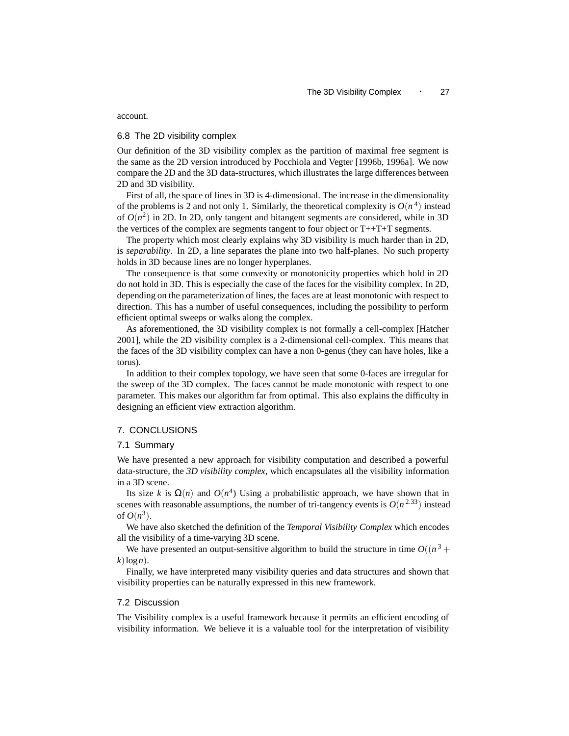account.

#### 6.8 The 2D visibility complex

Our definition of the 3D visibility complex as the partition of maximal free segment is the same as the 2D version introduced by Pocchiola and Vegter [1996b, 1996a]. We now compare the 2D and the 3D data-structures, which illustrates the large differences between 2D and 3D visibility.

First of all, the space of lines in 3D is 4-dimensional. The increase in the dimensionality of the problems is 2 and not only 1. Similarly, the theoretical complexity is  $O(n^4)$  instead of  $O(n^2)$  in 2D. In 2D, only tangent and bitangent segments are considered, while in 3D the vertices of the complex are segments tangent to four object or T++T+T segments.

The property which most clearly explains why 3D visibility is much harder than in 2D, is *separability*. In 2D, a line separates the plane into two half-planes. No such property holds in 3D because lines are no longer hyperplanes.

The consequence is that some convexity or monotonicity properties which hold in 2D do not hold in 3D. This is especially the case of the faces for the visibility complex. In 2D, depending on the parameterization of lines, the faces are at least monotonic with respect to direction. This has a number of useful consequences, including the possibility to perform efficient optimal sweeps or walks along the complex.

As aforementioned, the 3D visibility complex is not formally a cell-complex [Hatcher 2001], while the 2D visibility complex is a 2-dimensional cell-complex. This means that the faces of the 3D visibility complex can have a non 0-genus (they can have holes, like a torus).

In addition to their complex topology, we have seen that some 0-faces are irregular for the sweep of the 3D complex. The faces cannot be made monotonic with respect to one parameter. This makes our algorithm far from optimal. This also explains the difficulty in designing an efficient view extraction algorithm.

#### 7. CONCLUSIONS

#### 7.1 Summary

We have presented a new approach for visibility computation and described a powerful data-structure, the *3D visibility complex*, which encapsulates all the visibility information in a 3D scene.

Its size *k* is  $\Omega(n)$  and  $O(n^4)$  Using a probabilistic approach, we have shown that in scenes with reasonable assumptions, the number of tri-tangency events is  $O(n^{2.33})$  instead of  $O(n^3)$ .

We have also sketched the definition of the *Temporal Visibility Complex* which encodes all the visibility of a time-varying 3D scene.

We have presented an output-sensitive algorithm to build the structure in time  $O((n^3 +$  $k$ )logn).

Finally, we have interpreted many visibility queries and data structures and shown that visibility properties can be naturally expressed in this new framework.

#### 7.2 Discussion

The Visibility complex is a useful framework because it permits an efficient encoding of visibility information. We believe it is a valuable tool for the interpretation of visibility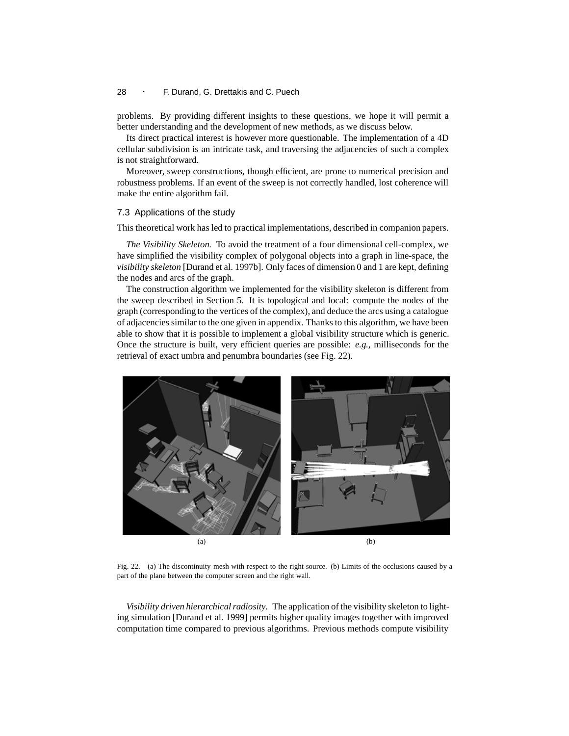problems. By providing different insights to these questions, we hope it will permit a better understanding and the development of new methods, as we discuss below.

Its direct practical interest is however more questionable. The implementation of a 4D cellular subdivision is an intricate task, and traversing the adjacencies of such a complex is not straightforward.

Moreover, sweep constructions, though efficient, are prone to numerical precision and robustness problems. If an event of the sweep is not correctly handled, lost coherence will make the entire algorithm fail.

#### 7.3 Applications of the study

This theoretical work has led to practical implementations, described in companion papers.

*The Visibility Skeleton.* To avoid the treatment of a four dimensional cell-complex, we have simplified the visibility complex of polygonal objects into a graph in line-space, the *visibility skeleton* [Durand et al. 1997b]. Only faces of dimension 0 and 1 are kept, defining the nodes and arcs of the graph.

The construction algorithm we implemented for the visibility skeleton is different from the sweep described in Section 5. It is topological and local: compute the nodes of the graph (corresponding to the vertices of the complex), and deduce the arcs using a catalogue of adjacencies similar to the one given in appendix. Thanks to this algorithm, we have been able to show that it is possible to implement a global visibility structure which is generic. Once the structure is built, very efficient queries are possible: *e.g.*, milliseconds for the retrieval of exact umbra and penumbra boundaries (see Fig. 22).



Fig. 22. (a) The discontinuity mesh with respect to the right source. (b) Limits of the occlusions caused by a part of the plane between the computer screen and the right wall.

*Visibility driven hierarchical radiosity.* The application of the visibility skeleton to lighting simulation [Durand et al. 1999] permits higher quality images together with improved computation time compared to previous algorithms. Previous methods compute visibility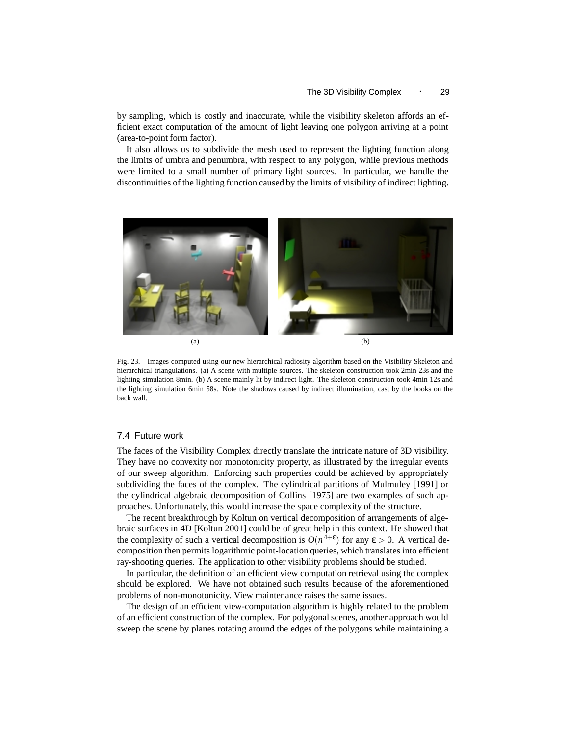by sampling, which is costly and inaccurate, while the visibility skeleton affords an efficient exact computation of the amount of light leaving one polygon arriving at a point (area-to-point form factor).

It also allows us to subdivide the mesh used to represent the lighting function along the limits of umbra and penumbra, with respect to any polygon, while previous methods were limited to a small number of primary light sources. In particular, we handle the discontinuities of the lighting function caused by the limits of visibility of indirect lighting.



Fig. 23. Images computed using our new hierarchical radiosity algorithm based on the Visibility Skeleton and hierarchical triangulations. (a) A scene with multiple sources. The skeleton construction took 2min 23s and the lighting simulation 8min. (b) A scene mainly lit by indirect light. The skeleton construction took 4min 12s and the lighting simulation 6min 58s. Note the shadows caused by indirect illumination, cast by the books on the back wall.

#### 7.4 Future work

The faces of the Visibility Complex directly translate the intricate nature of 3D visibility. They have no convexity nor monotonicity property, as illustrated by the irregular events of our sweep algorithm. Enforcing such properties could be achieved by appropriately subdividing the faces of the complex. The cylindrical partitions of Mulmuley [1991] or the cylindrical algebraic decomposition of Collins [1975] are two examples of such approaches. Unfortunately, this would increase the space complexity of the structure.

The recent breakthrough by Koltun on vertical decomposition of arrangements of algebraic surfaces in 4D [Koltun 2001] could be of great help in this context. He showed that the complexity of such a vertical decomposition is  $O(n^{4+\epsilon})$  for any  $\epsilon > 0$ . A vertical decomposition then permits logarithmic point-location queries, which translates into efficient ray-shooting queries. The application to other visibility problems should be studied.

In particular, the definition of an efficient view computation retrieval using the complex should be explored. We have not obtained such results because of the aforementioned problems of non-monotonicity. View maintenance raises the same issues.

The design of an efficient view-computation algorithm is highly related to the problem of an efficient construction of the complex. For polygonal scenes, another approach would sweep the scene by planes rotating around the edges of the polygons while maintaining a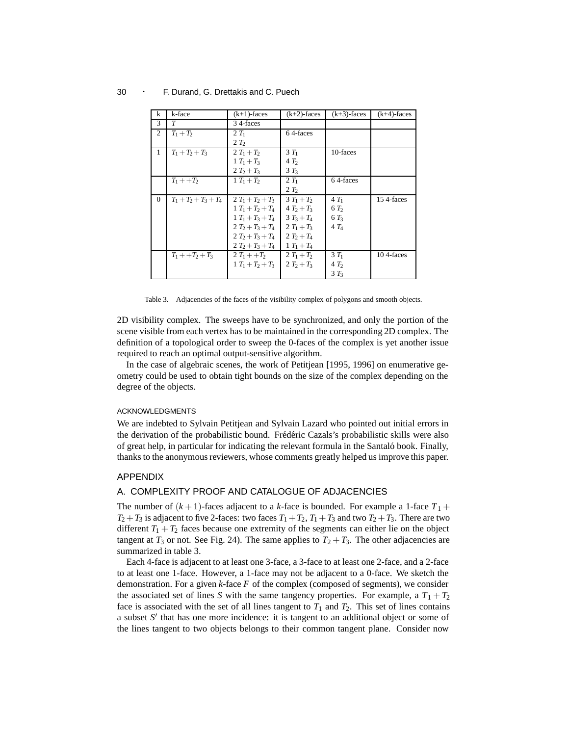| k        | k-face                  | $(k+1)$ -faces      | $(k+2)$ -faces  | $(k+3)$ -faces  | $(k+4)$ -faces |
|----------|-------------------------|---------------------|-----------------|-----------------|----------------|
| 3        | T                       | 34-faces            |                 |                 |                |
| 2        | $T_1 + T_2$             | $2T_1$              | 64-faces        |                 |                |
|          |                         | 2T <sub>2</sub>     |                 |                 |                |
| 1        | $T_1 + T_2 + T_3$       | $2T_1 + T_2$        | $3T_1$          | 10-faces        |                |
|          |                         | $1 T_1 + T_3$       | 4T <sub>2</sub> |                 |                |
|          |                         | $2T_2+T_3$          | $3T_3$          |                 |                |
|          | $T_1 + +T_2$            | $1 T_1 + T_2$       | $2T_1$          | 64-faces        |                |
|          |                         |                     | 2T <sub>2</sub> |                 |                |
| $\Omega$ | $T_1 + T_2 + T_3 + T_4$ | $2T_1+T_2+T_3$      | $3T_1 + T_2$    | $4T_1$          | 15 4-faces     |
|          |                         | $1 T_1 + T_2 + T_4$ | $4T_2+T_3$      | 6T <sub>2</sub> |                |
|          |                         | $1 T_1 + T_3 + T_4$ | $3T_3 + T_4$    | $6T_3$          |                |
|          |                         | $2T_2+T_3+T_4$      | $2T_1+T_3$      | $4T_4$          |                |
|          |                         | $2T_2+T_3+T_4$      | $2T_2+T_4$      |                 |                |
|          |                         | $2T_2+T_3+T_4$      | $1 T_1 + T_4$   |                 |                |
|          | $T_1 + + T_2 + T_3$     | $2T_1 + T_2$        | $2T_1 + T_2$    | $3T_1$          | 10 4-faces     |
|          |                         | $1 T_1 + T_2 + T_3$ | $2T_2+T_3$      | 4T <sub>2</sub> |                |
|          |                         |                     |                 | $3T_3$          |                |

Table 3. Adjacencies of the faces of the visibility complex of polygons and smooth objects.

2D visibility complex. The sweeps have to be synchronized, and only the portion of the scene visible from each vertex has to be maintained in the corresponding 2D complex. The definition of a topological order to sweep the 0-faces of the complex is yet another issue required to reach an optimal output-sensitive algorithm.

In the case of algebraic scenes, the work of Petitjean [1995, 1996] on enumerative geometry could be used to obtain tight bounds on the size of the complex depending on the degree of the objects.

#### ACKNOWLEDGMENTS

We are indebted to Sylvain Petitjean and Sylvain Lazard who pointed out initial errors in the derivation of the probabilistic bound. Frédéric Cazals's probabilistic skills were also of great help, in particular for indicating the relevant formula in the Santaló book. Finally, thanks to the anonymous reviewers, whose comments greatly helped us improve this paper.

#### APPENDIX

#### A. COMPLEXITY PROOF AND CATALOGUE OF ADJACENCIES

The number of  $(k+1)$ -faces adjacent to a *k*-face is bounded. For example a 1-face  $T_1$  +  $T_2 + T_3$  is adjacent to five 2-faces: two faces  $T_1 + T_2$ ,  $T_1 + T_3$  and two  $T_2 + T_3$ . There are two different  $T_1 + T_2$  faces because one extremity of the segments can either lie on the object tangent at  $T_3$  or not. See Fig. 24). The same applies to  $T_2 + T_3$ . The other adjacencies are summarized in table 3.

Each 4-face is adjacent to at least one 3-face, a 3-face to at least one 2-face, and a 2-face to at least one 1-face. However, a 1-face may not be adjacent to a 0-face. We sketch the demonstration. For a given *k*-face *F* of the complex (composed of segments), we consider the associated set of lines *S* with the same tangency properties. For example, a  $T_1 + T_2$ face is associated with the set of all lines tangent to  $T_1$  and  $T_2$ . This set of lines contains a subset S<sup>'</sup> that has one more incidence: it is tangent to an additional object or some of the lines tangent to two objects belongs to their common tangent plane. Consider now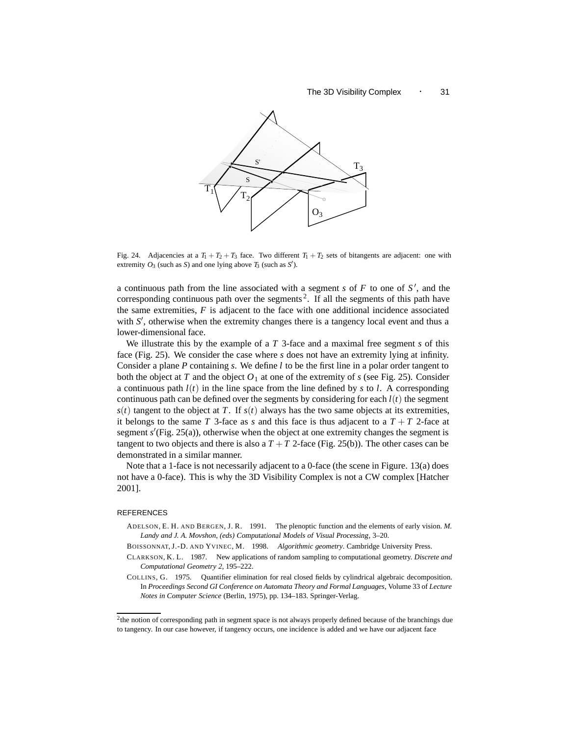

Fig. 24. Adjacencies at a  $T_1 + T_2 + T_3$  face. Two different  $T_1 + T_2$  sets of bitangents are adjacent: one with extremity  $O_3$  (such as *S*) and one lying above  $T_3$  (such as *S'*).

a continuous path from the line associated with a segment  $s$  of  $F$  to one of  $S'$ , and the corresponding continuous path over the segments<sup>2</sup>. If all the segments of this path have the same extremities,  $F$  is adjacent to the face with one additional incidence associated with  $S'$ , otherwise when the extremity changes there is a tangency local event and thus a lower-dimensional face.

We illustrate this by the example of a *T* 3-face and a maximal free segment *s* of this face (Fig. 25). We consider the case where *s* does not have an extremity lying at infinity. Consider a plane *P* containing *s*. We define *l* to be the first line in a polar order tangent to both the object at *T* and the object  $O_1$  at one of the extremity of *s* (see Fig. 25). Consider a continuous path  $l(t)$  in the line space from the line defined by *s* to *l*. A corresponding continuous path can be defined over the segments by considering for each  $l(t)$  the segment  $s(t)$  tangent to the object at *T*. If  $s(t)$  always has the two same objects at its extremities, it belongs to the same *T* 3-face as *s* and this face is thus adjacent to a  $T + T$  2-face at segment  $s'$ (Fig. 25(a)), otherwise when the object at one extremity changes the segment is tangent to two objects and there is also a  $T + T$  2-face (Fig. 25(b)). The other cases can be demonstrated in a similar manner.

Note that a 1-face is not necessarily adjacent to a 0-face (the scene in Figure. 13(a) does not have a 0-face). This is why the 3D Visibility Complex is not a CW complex [Hatcher 2001].

#### REFERENCES

ADELSON, E. H. AND BERGEN, J. R. 1991. The plenoptic function and the elements of early vision. *M. Landy and J. A. Movshon, (eds)* Computational Models of Visual Processing, 3–20.

BOISSONNAT, J.-D. AND YVINEC, M. 1998. *Algorithmic geometry*. Cambridge University Press.

- CLARKSON, K. L. 1987. New applications of random sampling to computational geometry. *Discrete and Computational Geometry 2*, 195–222.
- COLLINS, G. 1975. Quantifier elimination for real closed fields by cylindrical algebraic decomposition. In *Proceedings Second GI Conference on Automata Theory and Formal Languages*, Volume 33 of *Lecture Notes in Computer Science* (Berlin, 1975), pp. 134–183. Springer-Verlag.

<sup>&</sup>lt;sup>2</sup>the notion of corresponding path in segment space is not always properly defined because of the branchings due to tangency. In our case however, if tangency occurs, one incidence is added and we have our adjacent face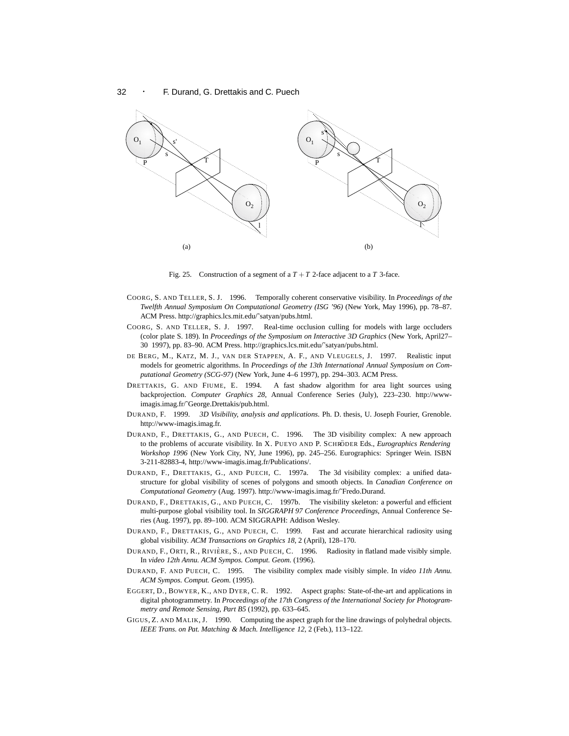

Fig. 25. Construction of a segment of a  $T + T$  2-face adjacent to a  $T$  3-face.

- COORG, S. AND TELLER, S. J. 1996. Temporally coherent conservative visibility. In *Proceedings of the Twelfth Annual Symposium On Computational Geometry (ISG '96)* (New York, May 1996), pp. 78–87. ACM Press. http://graphics.lcs.mit.edu/˜satyan/pubs.html.
- COORG, S. AND TELLER, S. J. 1997. Real-time occlusion culling for models with large occluders (color plate S. 189). In *Proceedings of the Symposium on Interactive 3D Graphics* (New York, April27– 30 1997), pp. 83–90. ACM Press. http://graphics.lcs.mit.edu/˜satyan/pubs.html.
- DE BERG, M., KATZ, M. J., VAN DER STAPPEN, A. F., AND VLEUGELS, J. 1997. Realistic input models for geometric algorithms. In *Proceedings of the 13th International Annual Symposium on Computational Geometry (SCG-97)* (New York, June 4–6 1997), pp. 294–303. ACM Press.
- DRETTAKIS, G. AND FIUME, E. 1994. A fast shadow algorithm for area light sources using backprojection. *Computer Graphics 28*, Annual Conference Series (July), 223–230. http://wwwimagis.imag.fr/˜George.Drettakis/pub.html.
- DURAND, F. 1999. *3D Visibility, analysis and applications*. Ph. D. thesis, U. Joseph Fourier, Grenoble. http://www-imagis.imag.fr.
- DURAND, F., DRETTAKIS, G., AND PUECH, C. 1996. The 3D visibility complex: A new approach to the problems of accurate visibility. In X. PUEYO AND P. SCHRÖDER Eds., *Eurographics Rendering Workshop 1996* (New York City, NY, June 1996), pp. 245–256. Eurographics: Springer Wein. ISBN 3-211-82883-4, http://www-imagis.imag.fr/Publications/.
- DURAND, F., DRETTAKIS, G., AND PUECH, C. 1997a. The 3d visibility complex: a unified datastructure for global visibility of scenes of polygons and smooth objects. In *Canadian Conference on Computational Geometry* (Aug. 1997). http://www-imagis.imag.fr/˜Fredo.Durand.
- DURAND, F., DRETTAKIS, G., AND PUECH, C. 1997b. The visibility skeleton: a powerful and efficient multi-purpose global visibility tool. In *SIGGRAPH 97 Conference Proceedings*, Annual Conference Series (Aug. 1997), pp. 89–100. ACM SIGGRAPH: Addison Wesley.
- DURAND, F., DRETTAKIS, G., AND PUECH, C. 1999. Fast and accurate hierarchical radiosity using global visibility. *ACM Transactions on Graphics 18*, 2 (April), 128–170.
- DURAND, F., ORTI, R., RIVIÈRE, S., AND PUECH, C. 1996. Radiosity in flatland made visibly simple. In *video 12th Annu. ACM Sympos. Comput. Geom.* (1996).
- DURAND, F. AND PUECH, C. 1995. The visibility complex made visibly simple. In *video 11th Annu. ACM Sympos. Comput. Geom.* (1995).
- EGGERT, D., BOWYER, K., AND DYER, C. R. 1992. Aspect graphs: State-of-the-art and applications in digital photogrammetry. In *Proceedings of the 17th Congress of the International Society for Photogrammetry and Remote Sensing, Part B5* (1992), pp. 633–645.
- GIGUS, Z. AND MALIK, J. 1990. Computing the aspect graph for the line drawings of polyhedral objects. *IEEE Trans. on Pat. Matching & Mach. Intelligence 12*, 2 (Feb.), 113–122.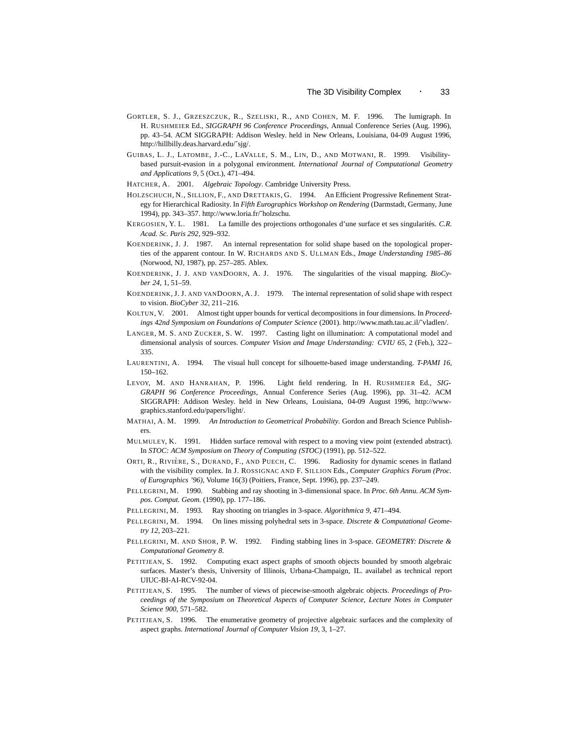- GORTLER, S. J., GRZESZCZUK, R., SZELISKI, R., AND COHEN, M. F. 1996. The lumigraph. In H. RUSHMEIER Ed., *SIGGRAPH 96 Conference Proceedings*, Annual Conference Series (Aug. 1996), pp. 43–54. ACM SIGGRAPH: Addison Wesley. held in New Orleans, Louisiana, 04-09 August 1996, http://hillbilly.deas.harvard.edu/˜sjg/.
- GUIBAS, L. J., LATOMBE, J.-C., LAVALLE, S. M., LIN, D., AND MOTWANI, R. 1999. Visibilitybased pursuit-evasion in a polygonal environment. *International Journal of Computational Geometry and Applications 9*, 5 (Oct.), 471–494.
- HATCHER, A. 2001. *Algebraic Topology*. Cambridge University Press.
- HOLZSCHUCH, N., SILLION, F., AND DRETTAKIS, G. 1994. An Efficient Progressive Refinement Strategy for Hierarchical Radiosity. In *Fifth Eurographics Workshop on Rendering* (Darmstadt, Germany, June 1994), pp. 343–357. http://www.loria.fr/˜holzschu.
- KERGOSIEN, Y. L. 1981. La famille des projections orthogonales d'une surface et ses singularités. C.R. *Acad. Sc. Paris 292*, 929–932.
- KOENDERINK, J. J. 1987. An internal representation for solid shape based on the topological properties of the apparent contour. In W. RICHARDS AND S. ULLMAN Eds., *Image Understanding 1985–86* (Norwood, NJ, 1987), pp. 257–285. Ablex.
- KOENDERINK, J. J. AND VANDOORN, A. J. 1976. The singularities of the visual mapping. *BioCyber 24*, 1, 51–59.
- KOENDERINK, J. J. AND VANDOORN, A. J. 1979. The internal representation of solid shape with respect to vision. *BioCyber 32*, 211–216.
- KOLTUN, V. 2001. Almost tight upper bounds for vertical decompositions in four dimensions. In *Proceedings 42nd Symposium on Foundations of Computer Science* (2001). http://www.math.tau.ac.il/˜vladlen/.
- LANGER, M. S. AND ZUCKER, S. W. 1997. Casting light on illumination: A computational model and dimensional analysis of sources. *Computer Vision and Image Understanding: CVIU 65*, 2 (Feb.), 322– 335.
- LAURENTINI, A. 1994. The visual hull concept for silhouette-based image understanding. *T-PAMI 16*, 150–162.
- LEVOY, M. AND HANRAHAN, P. 1996. Light field rendering. In H. RUSHMEIER Ed., *SIG-GRAPH 96 Conference Proceedings*, Annual Conference Series (Aug. 1996), pp. 31–42. ACM SIGGRAPH: Addison Wesley. held in New Orleans, Louisiana, 04-09 August 1996, http://wwwgraphics.stanford.edu/papers/light/.
- MATHAI, A. M. 1999. *An Introduction to Geometrical Probability*. Gordon and Breach Science Publishers.
- MULMULEY, K. 1991. Hidden surface removal with respect to a moving view point (extended abstract). In *STOC: ACM Symposium on Theory of Computing (STOC)* (1991), pp. 512–522.
- ORTI, R., RIVIÈRE, S., DURAND, F., AND PUECH, C. 1996. Radiosity for dynamic scenes in flatland with the visibility complex. In J. ROSSIGNAC AND F. SILLION Eds., *Computer Graphics Forum (Proc. of Eurographics '96)*, Volume 16(3) (Poitiers, France, Sept. 1996), pp. 237–249.
- PELLEGRINI, M. 1990. Stabbing and ray shooting in 3-dimensional space. In *Proc. 6th Annu. ACM Sympos. Comput. Geom.* (1990), pp. 177–186.
- PELLEGRINI, M. 1993. Ray shooting on triangles in 3-space. *Algorithmica 9*, 471–494.
- PELLEGRINI, M. 1994. On lines missing polyhedral sets in 3-space. *Discrete & Computational Geometry 12*, 203–221.
- PELLEGRINI, M. AND SHOR, P. W. 1992. Finding stabbing lines in 3-space. *GEOMETRY: Discrete & Computational Geometry 8*.
- PETITJEAN, S. 1992. Computing exact aspect graphs of smooth objects bounded by smooth algebraic surfaces. Master's thesis, University of Illinois, Urbana-Champaign, IL. availabel as technical report UIUC-BI-AI-RCV-92-04.
- PETITJEAN, S. 1995. The number of views of piecewise-smooth algebraic objects. *Proceedings of Proceedings of the Symposium on Theoretical Aspects of Computer Science, Lecture Notes in Computer Science 900*, 571–582.
- PETITJEAN, S. 1996. The enumerative geometry of projective algebraic surfaces and the complexity of aspect graphs. *International Journal of Computer Vision 19*, 3, 1–27.